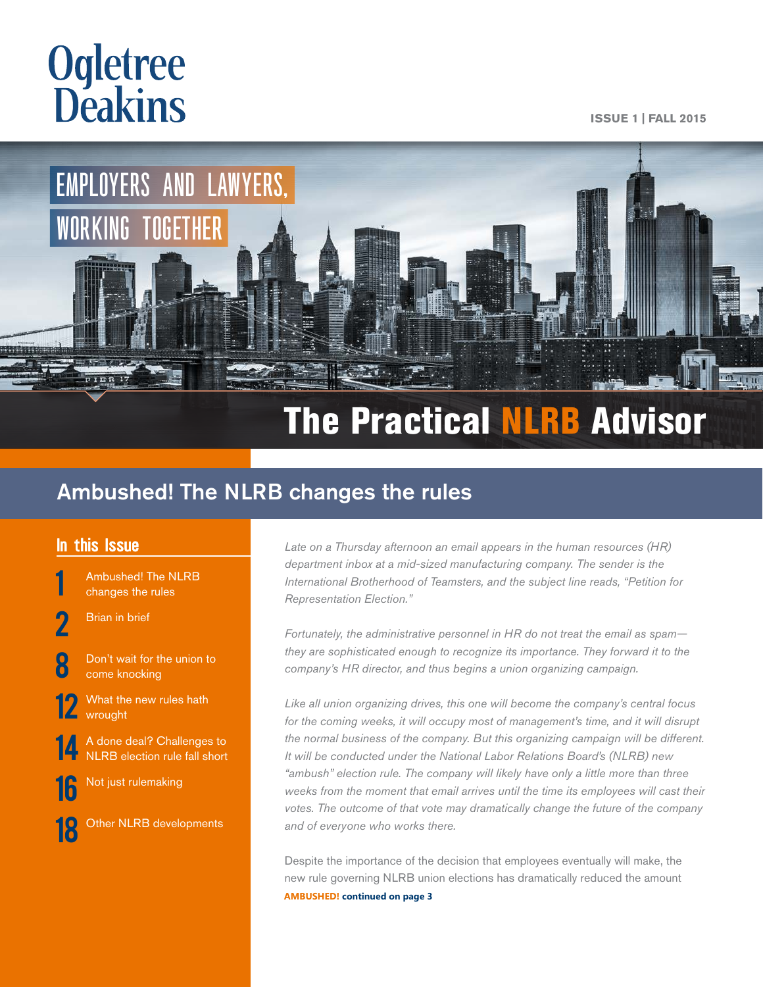# **Ogletree**<br>**Deakins**

**ISSUE 1 | FALL 2015**



## The Practical NLRB Advisor

## Ambushed! The NLRB changes the rules

## In this Issue

Ambushed! The NLRB changes the rules

- **[Brian in brief](#page-1-0)**
- Don't wait for the union to come knocking
- What the new rules hath wrought
- 14 A done deal? Challenges to<br>[NLRB election rule fall short](#page-13-0)
- 16 [Not just rulemaking](#page-15-0)

18 [Other NLRB developments](#page-17-0)

Late on a Thursday afternoon an email appears in the human resources (HR) *department inbox at a mid-sized manufacturing company. The sender is the International Brotherhood of Teamsters, and the subject line reads, "Petition for Representation Election."*

*Fortunately, the administrative personnel in HR do not treat the email as spam they are sophisticated enough to recognize its importance. They forward it to the company's HR director, and thus begins a union organizing campaign.*

*Like all union organizing drives, this one will become the company's central focus for the coming weeks, it will occupy most of management's time, and it will disrupt the normal business of the company. But this organizing campaign will be different. It will be conducted under the National Labor Relations Board's (NLRB) new "ambush" election rule. The company will likely have only a little more than three weeks from the moment that email arrives until the time its employees will cast their votes. The outcome of that vote may dramatically change the future of the company and of everyone who works there.*

Despite the importance of the decision that employees eventually will make, the new rule governing NLRB union elections has dramatically reduced the amount **AMBUSHED! continued on page 3**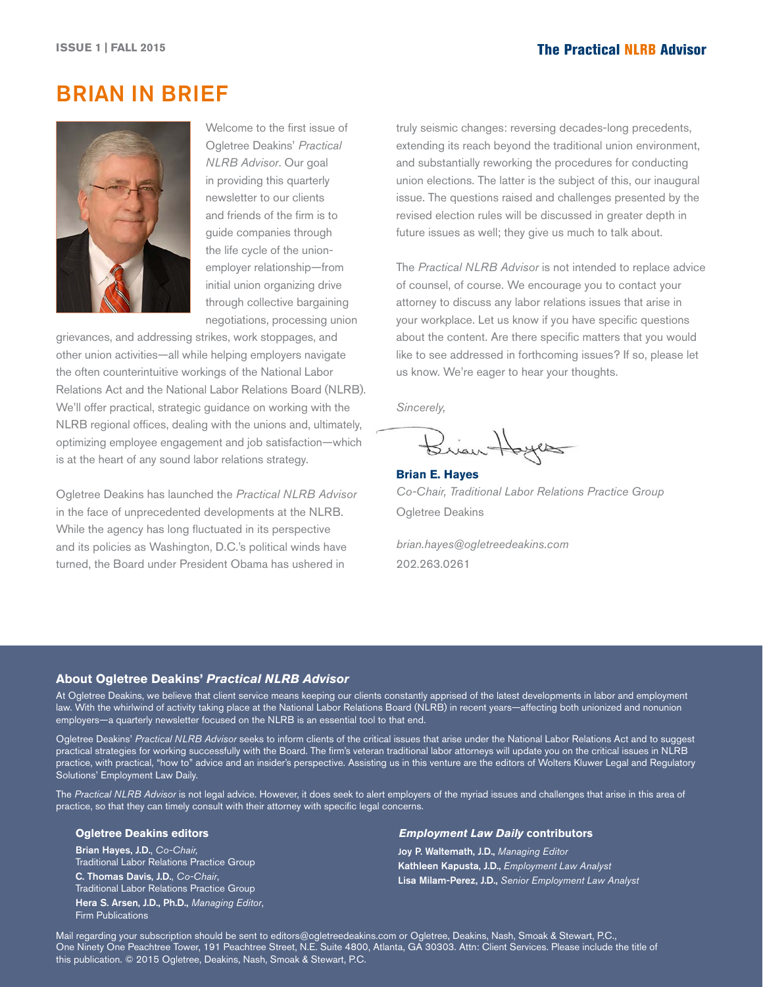## <span id="page-1-0"></span>BRIAN IN BRIEF



Welcome to the first issue of Ogletree Deakins' *Practical NLRB Advisor*. Our goal in providing this quarterly newsletter to our clients and friends of the firm is to guide companies through the life cycle of the unionemployer relationship—from initial union organizing drive through collective bargaining negotiations, processing union

grievances, and addressing strikes, work stoppages, and other union activities—all while helping employers navigate the often counterintuitive workings of the National Labor Relations Act and the National Labor Relations Board (NLRB). We'll offer practical, strategic guidance on working with the NLRB regional offices, dealing with the unions and, ultimately, optimizing employee engagement and job satisfaction—which is at the heart of any sound labor relations strategy.

Ogletree Deakins has launched the *Practical NLRB Advisor* in the face of unprecedented developments at the NLRB. While the agency has long fluctuated in its perspective and its policies as Washington, D.C.'s political winds have turned, the Board under President Obama has ushered in

truly seismic changes: reversing decades-long precedents, extending its reach beyond the traditional union environment, and substantially reworking the procedures for conducting union elections. The latter is the subject of this, our inaugural issue. The questions raised and challenges presented by the revised election rules will be discussed in greater depth in future issues as well; they give us much to talk about.

The *Practical NLRB Advisor* is not intended to replace advice of counsel, of course. We encourage you to contact your attorney to discuss any labor relations issues that arise in your workplace. Let us know if you have specific questions about the content. Are there specific matters that you would like to see addressed in forthcoming issues? If so, please let us know. We're eager to hear your thoughts.

*Sincerely,*

Brian Hoyes

**Brian E. Hayes** *Co-Chair, Traditional Labor Relations Practice Group* Ogletree Deakins

*brian.hayes@ogletreedeakins.com* 202.263.0261

#### **About Ogletree Deakins'** *Practical NLRB Advisor*

At Ogletree Deakins, we believe that client service means keeping our clients constantly apprised of the latest developments in labor and employment law. With the whirlwind of activity taking place at the National Labor Relations Board (NLRB) in recent years—affecting both unionized and nonunion employers—a quarterly newsletter focused on the NLRB is an essential tool to that end.

Ogletree Deakins' *Practical NLRB Advisor* seeks to inform clients of the critical issues that arise under the National Labor Relations Act and to suggest practical strategies for working successfully with the Board. The firm's veteran traditional labor attorneys will update you on the critical issues in NLRB practice, with practical, "how to" advice and an insider's perspective. Assisting us in this venture are the editors of Wolters Kluwer Legal and Regulatory Solutions' Employment Law Daily.

The *Practical NLRB Advisor* is not legal advice. However, it does seek to alert employers of the myriad issues and challenges that arise in this area of practice, so that they can timely consult with their attorney with specific legal concerns.

#### **Ogletree Deakins editors**

Brian Hayes, J.D., *Co-Chair,* Traditional Labor Relations Practice Group C. Thomas Davis, J.D., *Co-Chair*, Traditional Labor Relations Practice Group Hera S. Arsen, J.D., Ph.D., *Managing Editor*, Firm Publications

#### *Employment Law Daily* **contributors**

Joy P. Waltemath, J.D., *Managing Editor* Kathleen Kapusta, J.D., *Employment Law Analyst* Lisa Milam-Perez, J.D., *Senior Employment Law Analyst*

Mail regarding your subscription should be sent to editors@ogletreedeakins.com or Ogletree, Deakins, Nash, Smoak & Stewart, P.C., One Ninety One Peachtree Tower, 191 Peachtree Street, N.E. Suite 4800, Atlanta, GA 30303. Attn: Client Services. Please include the title of this publication. © 2015 Ogletree, Deakins, Nash, Smoak & Stewart, P.C.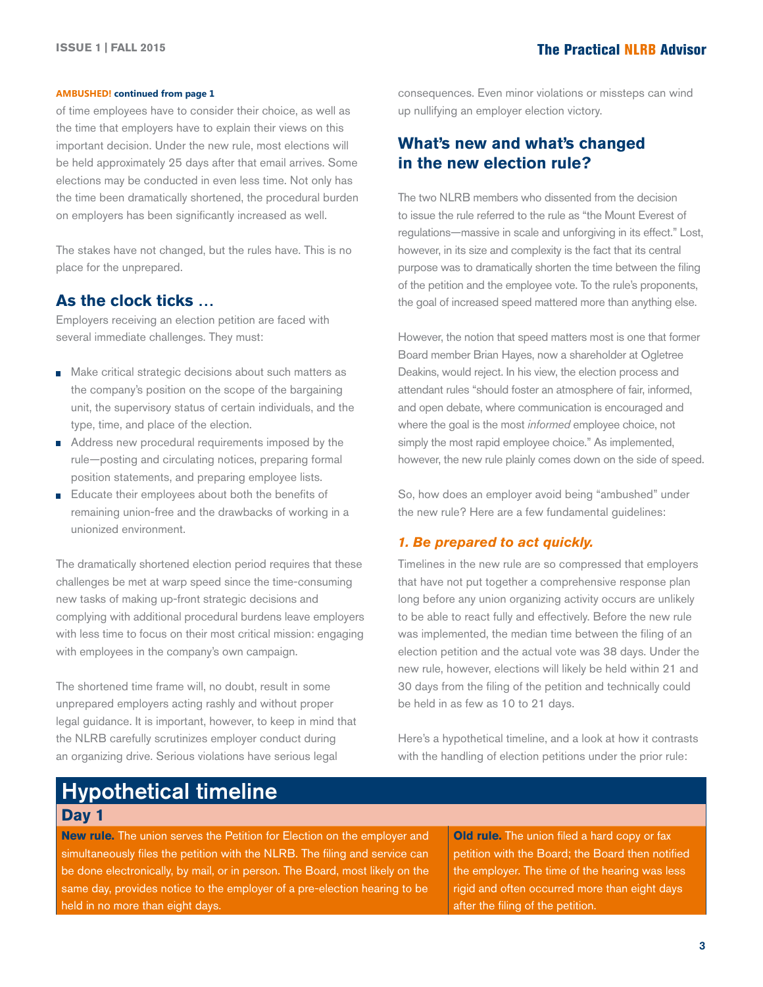#### **AMBUSHED! continued from page 1**

of time employees have to consider their choice, as well as the time that employers have to explain their views on this important decision. Under the new rule, most elections will be held approximately 25 days after that email arrives. Some elections may be conducted in even less time. Not only has the time been dramatically shortened, the procedural burden on employers has been significantly increased as well.

The stakes have not changed, but the rules have. This is no place for the unprepared.

## **As the clock ticks …**

Employers receiving an election petition are faced with several immediate challenges. They must:

- Make critical strategic decisions about such matters as the company's position on the scope of the bargaining unit, the supervisory status of certain individuals, and the type, time, and place of the election.
- Address new procedural requirements imposed by the rule—posting and circulating notices, preparing formal position statements, and preparing employee lists.
- Educate their employees about both the benefits of remaining union-free and the drawbacks of working in a unionized environment.

The dramatically shortened election period requires that these challenges be met at warp speed since the time-consuming new tasks of making up-front strategic decisions and complying with additional procedural burdens leave employers with less time to focus on their most critical mission: engaging with employees in the company's own campaign.

The shortened time frame will, no doubt, result in some unprepared employers acting rashly and without proper legal guidance. It is important, however, to keep in mind that the NLRB carefully scrutinizes employer conduct during an organizing drive. Serious violations have serious legal

consequences. Even minor violations or missteps can wind up nullifying an employer election victory.

## **What's new and what's changed in the new election rule?**

The two NLRB members who dissented from the decision to issue the rule referred to the rule as "the Mount Everest of regulations—massive in scale and unforgiving in its effect." Lost, however, in its size and complexity is the fact that its central purpose was to dramatically shorten the time between the filing of the petition and the employee vote. To the rule's proponents, the goal of increased speed mattered more than anything else.

However, the notion that speed matters most is one that former Board member Brian Hayes, now a shareholder at Ogletree Deakins, would reject. In his view, the election process and attendant rules "should foster an atmosphere of fair, informed, and open debate, where communication is encouraged and where the goal is the most *informed* employee choice, not simply the most rapid employee choice." As implemented, however, the new rule plainly comes down on the side of speed.

So, how does an employer avoid being "ambushed" under the new rule? Here are a few fundamental guidelines:

#### *1. Be prepared to act quickly.*

Timelines in the new rule are so compressed that employers that have not put together a comprehensive response plan long before any union organizing activity occurs are unlikely to be able to react fully and effectively. Before the new rule was implemented, the median time between the filing of an election petition and the actual vote was 38 days. Under the new rule, however, elections will likely be held within 21 and 30 days from the filing of the petition and technically could be held in as few as 10 to 21 days.

Here's a hypothetical timeline, and a look at how it contrasts with the handling of election petitions under the prior rule:

## Hypothetical timeline **Day 1**

**New rule.** The union serves the Petition for Election on the employer and simultaneously files the petition with the NLRB. The filing and service can be done electronically, by mail, or in person. The Board, most likely on the same day, provides notice to the employer of a pre-election hearing to be held in no more than eight days.

**Old rule.** The union filed a hard copy or fax petition with the Board; the Board then notified the employer. The time of the hearing was less rigid and often occurred more than eight days after the filing of the petition.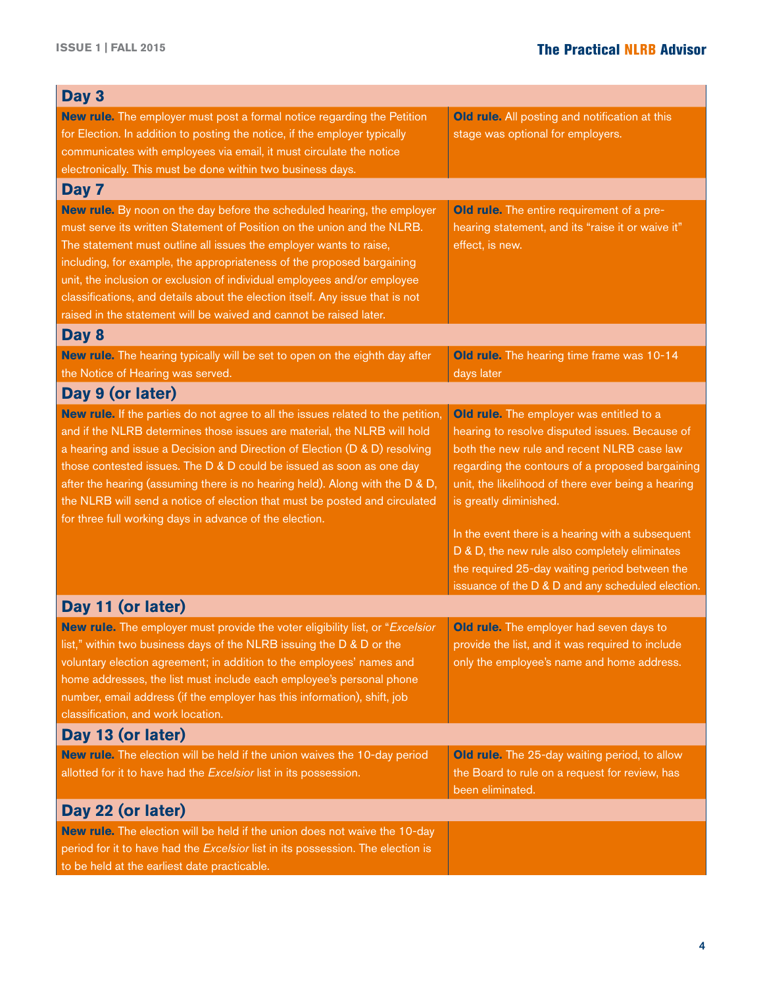| Day 3                                                                                                                                                                                                                                                                                                                                                                                                                                                                                                                                       |                                                                                                                                                                                                                                                                                                                                                                                                                                                                                           |  |  |  |
|---------------------------------------------------------------------------------------------------------------------------------------------------------------------------------------------------------------------------------------------------------------------------------------------------------------------------------------------------------------------------------------------------------------------------------------------------------------------------------------------------------------------------------------------|-------------------------------------------------------------------------------------------------------------------------------------------------------------------------------------------------------------------------------------------------------------------------------------------------------------------------------------------------------------------------------------------------------------------------------------------------------------------------------------------|--|--|--|
| <b>New rule.</b> The employer must post a formal notice regarding the Petition<br>for Election. In addition to posting the notice, if the employer typically<br>communicates with employees via email, it must circulate the notice<br>electronically. This must be done within two business days.                                                                                                                                                                                                                                          | Old rule. All posting and notification at this<br>stage was optional for employers.                                                                                                                                                                                                                                                                                                                                                                                                       |  |  |  |
| Day 7                                                                                                                                                                                                                                                                                                                                                                                                                                                                                                                                       |                                                                                                                                                                                                                                                                                                                                                                                                                                                                                           |  |  |  |
| New rule. By noon on the day before the scheduled hearing, the employer<br>must serve its written Statement of Position on the union and the NLRB.<br>The statement must outline all issues the employer wants to raise,<br>including, for example, the appropriateness of the proposed bargaining<br>unit, the inclusion or exclusion of individual employees and/or employee<br>classifications, and details about the election itself. Any issue that is not<br>raised in the statement will be waived and cannot be raised later.       | <b>Old rule.</b> The entire requirement of a pre-<br>hearing statement, and its "raise it or waive it"<br>effect, is new.                                                                                                                                                                                                                                                                                                                                                                 |  |  |  |
| Day 8                                                                                                                                                                                                                                                                                                                                                                                                                                                                                                                                       |                                                                                                                                                                                                                                                                                                                                                                                                                                                                                           |  |  |  |
| New rule. The hearing typically will be set to open on the eighth day after<br>the Notice of Hearing was served.                                                                                                                                                                                                                                                                                                                                                                                                                            | Old rule. The hearing time frame was 10-14<br>days later                                                                                                                                                                                                                                                                                                                                                                                                                                  |  |  |  |
| Day 9 (or later)                                                                                                                                                                                                                                                                                                                                                                                                                                                                                                                            |                                                                                                                                                                                                                                                                                                                                                                                                                                                                                           |  |  |  |
| New rule. If the parties do not agree to all the issues related to the petition,<br>and if the NLRB determines those issues are material, the NLRB will hold<br>a hearing and issue a Decision and Direction of Election (D & D) resolving<br>those contested issues. The D & D could be issued as soon as one day<br>after the hearing (assuming there is no hearing held). Along with the D & D,<br>the NLRB will send a notice of election that must be posted and circulated<br>for three full working days in advance of the election. | Old rule. The employer was entitled to a<br>hearing to resolve disputed issues. Because of<br>both the new rule and recent NLRB case law<br>regarding the contours of a proposed bargaining<br>unit, the likelihood of there ever being a hearing<br>is greatly diminished.<br>In the event there is a hearing with a subsequent<br>D & D, the new rule also completely eliminates<br>the required 25-day waiting period between the<br>issuance of the D & D and any scheduled election. |  |  |  |
| Day 11 (or later)                                                                                                                                                                                                                                                                                                                                                                                                                                                                                                                           |                                                                                                                                                                                                                                                                                                                                                                                                                                                                                           |  |  |  |
| New rule. The employer must provide the voter eligibility list, or "Excelsior<br>list," within two business days of the NLRB issuing the D & D or the<br>voluntary election agreement; in addition to the employees' names and<br>home addresses, the list must include each employee's personal phone<br>number, email address (if the employer has this information), shift, job<br>classification, and work location.                                                                                                                    | <b>Old rule.</b> The employer had seven days to<br>provide the list, and it was required to include<br>only the employee's name and home address.                                                                                                                                                                                                                                                                                                                                         |  |  |  |
| Day 13 (or later)                                                                                                                                                                                                                                                                                                                                                                                                                                                                                                                           |                                                                                                                                                                                                                                                                                                                                                                                                                                                                                           |  |  |  |
| New rule. The election will be held if the union waives the 10-day period<br>allotted for it to have had the Excelsior list in its possession.                                                                                                                                                                                                                                                                                                                                                                                              | <b>Old rule.</b> The 25-day waiting period, to allow<br>the Board to rule on a request for review, has<br>been eliminated.                                                                                                                                                                                                                                                                                                                                                                |  |  |  |
| Day 22 (or later)                                                                                                                                                                                                                                                                                                                                                                                                                                                                                                                           |                                                                                                                                                                                                                                                                                                                                                                                                                                                                                           |  |  |  |
| New rule. The election will be held if the union does not waive the 10-day<br>period for it to have had the Excelsior list in its possession. The election is<br>to be held at the earliest date practicable.                                                                                                                                                                                                                                                                                                                               |                                                                                                                                                                                                                                                                                                                                                                                                                                                                                           |  |  |  |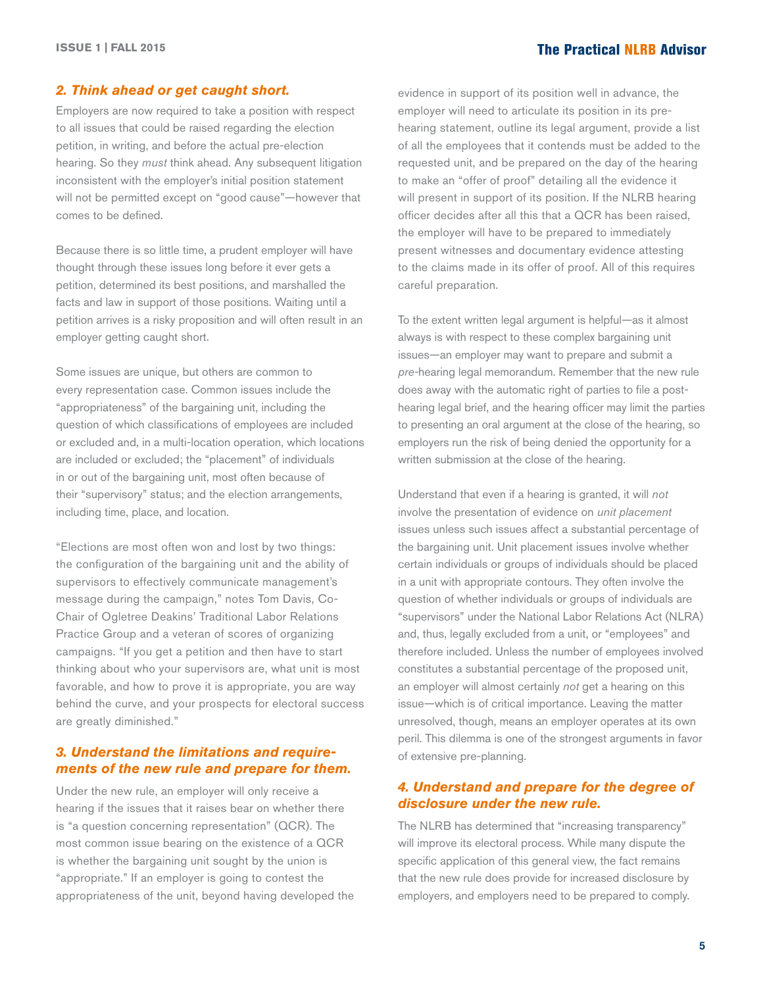#### *2. Think ahead or get caught short.*

Employers are now required to take a position with respect to all issues that could be raised regarding the election petition, in writing, and before the actual pre-election hearing. So they *must* think ahead. Any subsequent litigation inconsistent with the employer's initial position statement will not be permitted except on "good cause"—however that comes to be defined.

Because there is so little time, a prudent employer will have thought through these issues long before it ever gets a petition, determined its best positions, and marshalled the facts and law in support of those positions. Waiting until a petition arrives is a risky proposition and will often result in an employer getting caught short.

Some issues are unique, but others are common to every representation case. Common issues include the "appropriateness" of the bargaining unit, including the question of which classifications of employees are included or excluded and, in a multi-location operation, which locations are included or excluded; the "placement" of individuals in or out of the bargaining unit, most often because of their "supervisory" status; and the election arrangements, including time, place, and location.

"Elections are most often won and lost by two things: the configuration of the bargaining unit and the ability of supervisors to effectively communicate management's message during the campaign," notes Tom Davis, Co-Chair of Ogletree Deakins' Traditional Labor Relations Practice Group and a veteran of scores of organizing campaigns. "If you get a petition and then have to start thinking about who your supervisors are, what unit is most favorable, and how to prove it is appropriate, you are way behind the curve, and your prospects for electoral success are greatly diminished."

#### *3. Understand the limitations and requirements of the new rule and prepare for them.*

Under the new rule, an employer will only receive a hearing if the issues that it raises bear on whether there is "a question concerning representation" (QCR). The most common issue bearing on the existence of a QCR is whether the bargaining unit sought by the union is "appropriate." If an employer is going to contest the appropriateness of the unit, beyond having developed the

evidence in support of its position well in advance, the employer will need to articulate its position in its prehearing statement, outline its legal argument, provide a list of all the employees that it contends must be added to the requested unit, and be prepared on the day of the hearing to make an "offer of proof" detailing all the evidence it will present in support of its position. If the NLRB hearing officer decides after all this that a QCR has been raised, the employer will have to be prepared to immediately present witnesses and documentary evidence attesting to the claims made in its offer of proof. All of this requires careful preparation.

To the extent written legal argument is helpful—as it almost always is with respect to these complex bargaining unit issues—an employer may want to prepare and submit a *pre-*hearing legal memorandum. Remember that the new rule does away with the automatic right of parties to file a posthearing legal brief, and the hearing officer may limit the parties to presenting an oral argument at the close of the hearing, so employers run the risk of being denied the opportunity for a written submission at the close of the hearing.

Understand that even if a hearing is granted, it will *not*  involve the presentation of evidence on *unit placement*  issues unless such issues affect a substantial percentage of the bargaining unit. Unit placement issues involve whether certain individuals or groups of individuals should be placed in a unit with appropriate contours. They often involve the question of whether individuals or groups of individuals are "supervisors" under the National Labor Relations Act (NLRA) and, thus, legally excluded from a unit, or "employees" and therefore included. Unless the number of employees involved constitutes a substantial percentage of the proposed unit, an employer will almost certainly *not* get a hearing on this issue—which is of critical importance. Leaving the matter unresolved, though, means an employer operates at its own peril. This dilemma is one of the strongest arguments in favor of extensive pre-planning.

#### *4. Understand and prepare for the degree of disclosure under the new rule.*

The NLRB has determined that "increasing transparency" will improve its electoral process. While many dispute the specific application of this general view, the fact remains that the new rule does provide for increased disclosure by employers, and employers need to be prepared to comply.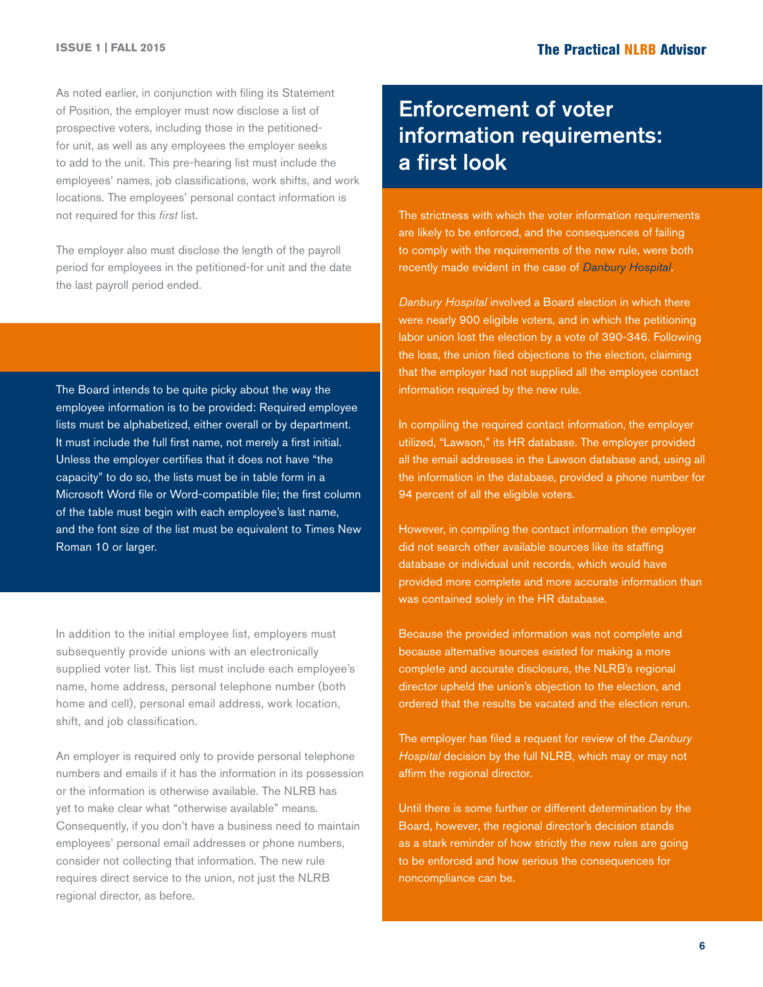As noted earlier, in conjunction with filing its Statement of Position, the employer must now disclose a list of prospective voters, including those in the petitionedfor unit, as well as any employees the employer seeks to add to the unit. This pre-hearing list must include the employees' names, job classifications, work shifts, and work locations. The employees' personal contact information is not required for this *first* list.

The employer also must disclose the length of the payroll period for employees in the petitioned-for unit and the date the last payroll period ended.

The Board intends to be quite picky about the way the employee information is to be provided: Required employee lists must be alphabetized, either overall or by department. It must include the full first name, not merely a first initial. Unless the employer certifies that it does not have "the capacity" to do so, the lists must be in table form in a Microsoft Word file or Word-compatible file; the first column of the table must begin with each employee's last name, and the font size of the list must be equivalent to Times New Roman 10 or larger.

In addition to the initial employee list, employers must subsequently provide unions with an electronically supplied voter list. This list must include each employee's name, home address, personal telephone number (both home and cell), personal email address, work location, shift, and job classification.

An employer is required only to provide personal telephone numbers and emails if it has the information in its possession or the information is otherwise available. The NLRB has yet to make clear what "otherwise available" means. Consequently, if you don't have a business need to maintain employees' personal email addresses or phone numbers, consider not collecting that information. The new rule requires direct service to the union, not just the NLRB regional director, as before.

## Enforcement of voter information requirements: a first look

The strictness with which the voter information requirements are likely to be enforced, and the consequences of failing to comply with the requirements of the new rule, were both recently made evident in the case of *[Danbury Hospital](http://hr.cch.com/ELD/DanburyHospitalRC153086.pdf)*.

*Danbury Hospital* involved a Board election in which there were nearly 900 eligible voters, and in which the petitioning labor union lost the election by a vote of 390-346. Following the loss, the union filed objections to the election, claiming that the employer had not supplied all the employee contact information required by the new rule.

In compiling the required contact information, the employer utilized, "Lawson," its HR database. The employer provided all the email addresses in the Lawson database and, using all the information in the database, provided a phone number for 94 percent of all the eligible voters.

However, in compiling the contact information the employer did not search other available sources like its staffing database or individual unit records, which would have provided more complete and more accurate information than was contained solely in the HR database.

Because the provided information was not complete and because alternative sources existed for making a more complete and accurate disclosure, the NLRB's regional director upheld the union's objection to the election, and ordered that the results be vacated and the election rerun.

The employer has filed a request for review of the *Danbury Hospital* decision by the full NLRB, which may or may not affirm the regional director.

Until there is some further or different determination by the Board, however, the regional director's decision stands as a stark reminder of how strictly the new rules are going to be enforced and how serious the consequences for noncompliance can be.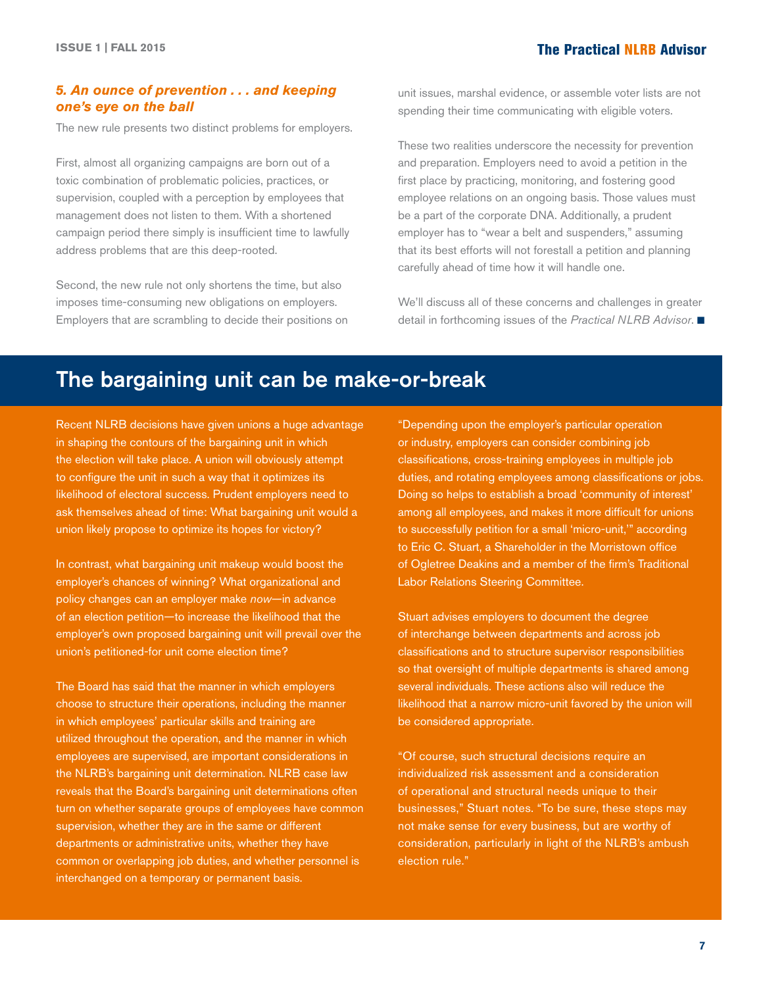#### *5. An ounce of prevention . . . and keeping one's eye on the ball*

The new rule presents two distinct problems for employers.

First, almost all organizing campaigns are born out of a toxic combination of problematic policies, practices, or supervision, coupled with a perception by employees that management does not listen to them. With a shortened campaign period there simply is insufficient time to lawfully address problems that are this deep-rooted.

Second, the new rule not only shortens the time, but also imposes time-consuming new obligations on employers. Employers that are scrambling to decide their positions on unit issues, marshal evidence, or assemble voter lists are not spending their time communicating with eligible voters.

These two realities underscore the necessity for prevention and preparation. Employers need to avoid a petition in the first place by practicing, monitoring, and fostering good employee relations on an ongoing basis. Those values must be a part of the corporate DNA. Additionally, a prudent employer has to "wear a belt and suspenders," assuming that its best efforts will not forestall a petition and planning carefully ahead of time how it will handle one.

We'll discuss all of these concerns and challenges in greater detail in forthcoming issues of the *Practical NLRB Advisor*. ■

## The bargaining unit can be make-or-break

Recent NLRB decisions have given unions a huge advantage in shaping the contours of the bargaining unit in which the election will take place. A union will obviously attempt to configure the unit in such a way that it optimizes its likelihood of electoral success. Prudent employers need to ask themselves ahead of time: What bargaining unit would a union likely propose to optimize its hopes for victory?

In contrast, what bargaining unit makeup would boost the employer's chances of winning? What organizational and policy changes can an employer make *now*—in advance of an election petition—to increase the likelihood that the employer's own proposed bargaining unit will prevail over the union's petitioned-for unit come election time?

The Board has said that the manner in which employers choose to structure their operations, including the manner in which employees' particular skills and training are utilized throughout the operation, and the manner in which employees are supervised, are important considerations in the NLRB's bargaining unit determination. NLRB case law reveals that the Board's bargaining unit determinations often turn on whether separate groups of employees have common supervision, whether they are in the same or different departments or administrative units, whether they have common or overlapping job duties, and whether personnel is interchanged on a temporary or permanent basis.

"Depending upon the employer's particular operation or industry, employers can consider combining job classifications, cross-training employees in multiple job duties, and rotating employees among classifications or jobs. Doing so helps to establish a broad 'community of interest' among all employees, and makes it more difficult for unions to successfully petition for a small 'micro-unit,'" according to Eric C. Stuart, a Shareholder in the Morristown office of Ogletree Deakins and a member of the firm's Traditional Labor Relations Steering Committee.

Stuart advises employers to document the degree of interchange between departments and across job classifications and to structure supervisor responsibilities so that oversight of multiple departments is shared among several individuals. These actions also will reduce the likelihood that a narrow micro-unit favored by the union will be considered appropriate.

"Of course, such structural decisions require an individualized risk assessment and a consideration of operational and structural needs unique to their businesses," Stuart notes. "To be sure, these steps may not make sense for every business, but are worthy of consideration, particularly in light of the NLRB's ambush election rule."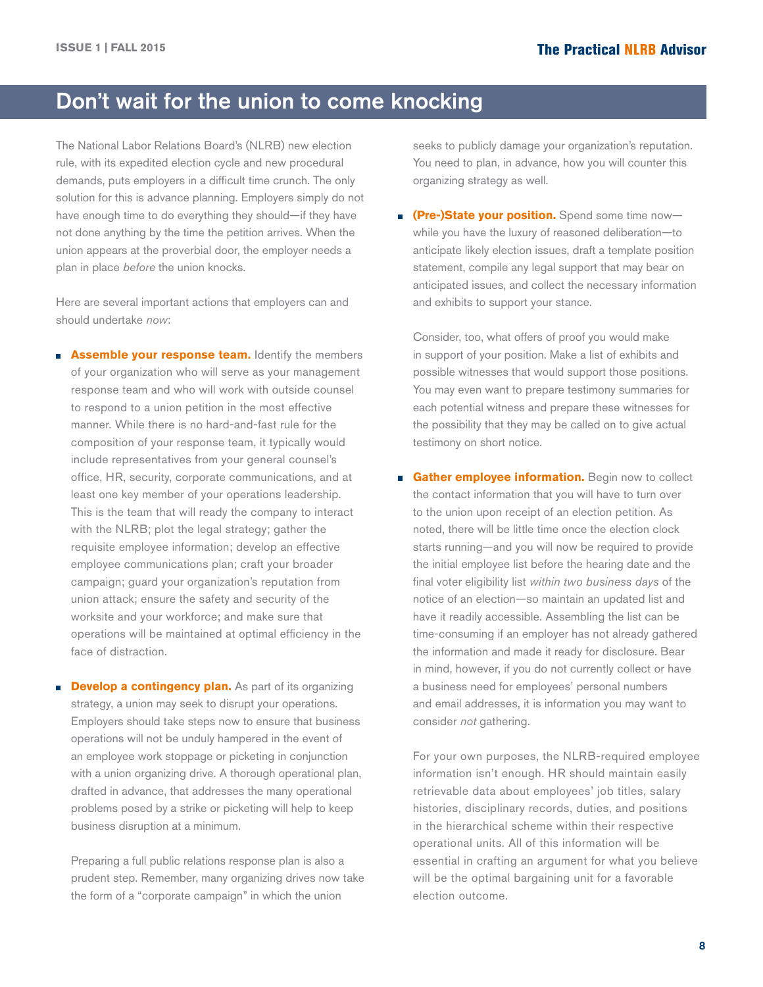## <span id="page-7-0"></span>Don't wait for the union to come knocking

The National Labor Relations Board's (NLRB) new election rule, with its expedited election cycle and new procedural demands, puts employers in a difficult time crunch. The only solution for this is advance planning. Employers simply do not have enough time to do everything they should—if they have not done anything by the time the petition arrives. When the union appears at the proverbial door, the employer needs a plan in place *before* the union knocks.

Here are several important actions that employers can and should undertake *now*:

- **Assemble your response team.** Identify the members of your organization who will serve as your management response team and who will work with outside counsel to respond to a union petition in the most effective manner. While there is no hard-and-fast rule for the composition of your response team, it typically would include representatives from your general counsel's office, HR, security, corporate communications, and at least one key member of your operations leadership. This is the team that will ready the company to interact with the NLRB; plot the legal strategy; gather the requisite employee information; develop an effective employee communications plan; craft your broader campaign; guard your organization's reputation from union attack; ensure the safety and security of the worksite and your workforce; and make sure that operations will be maintained at optimal efficiency in the face of distraction.
- **Develop a contingency plan.** As part of its organizing strategy, a union may seek to disrupt your operations. Employers should take steps now to ensure that business operations will not be unduly hampered in the event of an employee work stoppage or picketing in conjunction with a union organizing drive. A thorough operational plan, drafted in advance, that addresses the many operational problems posed by a strike or picketing will help to keep business disruption at a minimum.

Preparing a full public relations response plan is also a prudent step. Remember, many organizing drives now take the form of a "corporate campaign" in which the union

seeks to publicly damage your organization's reputation. You need to plan, in advance, how you will counter this organizing strategy as well.

**(Pre-)State your position.** Spend some time now while you have the luxury of reasoned deliberation—to anticipate likely election issues, draft a template position statement, compile any legal support that may bear on anticipated issues, and collect the necessary information and exhibits to support your stance.

Consider, too, what offers of proof you would make in support of your position. Make a list of exhibits and possible witnesses that would support those positions. You may even want to prepare testimony summaries for each potential witness and prepare these witnesses for the possibility that they may be called on to give actual testimony on short notice.

**Gather employee information.** Begin now to collect the contact information that you will have to turn over to the union upon receipt of an election petition. As noted, there will be little time once the election clock starts running—and you will now be required to provide the initial employee list before the hearing date and the final voter eligibility list *within two business days* of the notice of an election—so maintain an updated list and have it readily accessible. Assembling the list can be time-consuming if an employer has not already gathered the information and made it ready for disclosure. Bear in mind, however, if you do not currently collect or have a business need for employees' personal numbers and email addresses, it is information you may want to consider *not* gathering.

For your own purposes, the NLRB-required employee information isn't enough. HR should maintain easily retrievable data about employees' job titles, salary histories, disciplinary records, duties, and positions in the hierarchical scheme within their respective operational units. All of this information will be essential in crafting an argument for what you believe will be the optimal bargaining unit for a favorable election outcome.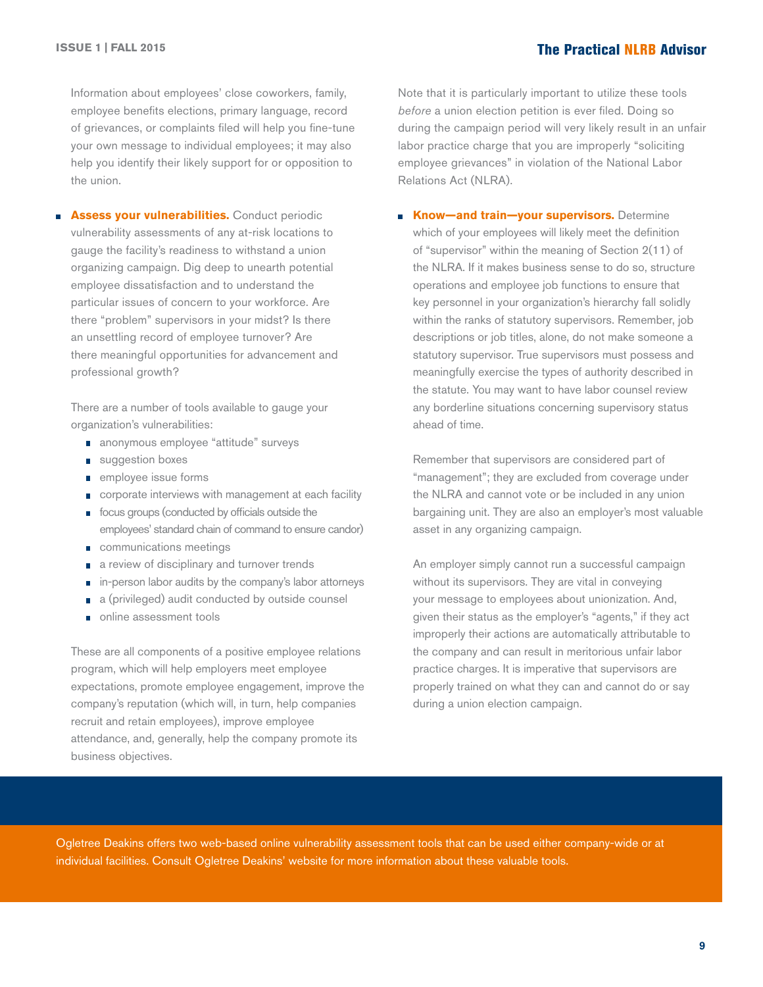Information about employees' close coworkers, family, employee benefits elections, primary language, record of grievances, or complaints filed will help you fine-tune your own message to individual employees; it may also help you identify their likely support for or opposition to the union.

**Assess your vulnerabilities.** Conduct periodic vulnerability assessments of any at-risk locations to gauge the facility's readiness to withstand a union organizing campaign. Dig deep to unearth potential employee dissatisfaction and to understand the particular issues of concern to your workforce. Are there "problem" supervisors in your midst? Is there an unsettling record of employee turnover? Are there meaningful opportunities for advancement and professional growth?

There are a number of tools available to gauge your organization's vulnerabilities:

- anonymous employee "attitude" surveys
- suggestion boxes
- **n** employee issue forms
- corporate interviews with management at each facility
- **focus groups (conducted by officials outside the** employees' standard chain of command to ensure candor)
- communications meetings
- a review of disciplinary and turnover trends
- in-person labor audits by the company's labor attorneys n
- a (privileged) audit conducted by outside counsel
- online assessment tools

These are all components of a positive employee relations program, which will help employers meet employee expectations, promote employee engagement, improve the company's reputation (which will, in turn, help companies recruit and retain employees), improve employee attendance, and, generally, help the company promote its business objectives.

Note that it is particularly important to utilize these tools *before* a union election petition is ever filed. Doing so during the campaign period will very likely result in an unfair labor practice charge that you are improperly "soliciting employee grievances" in violation of the National Labor Relations Act (NLRA).

**Know—and train—your supervisors.** Determine which of your employees will likely meet the definition of "supervisor" within the meaning of Section 2(11) of the NLRA. If it makes business sense to do so, structure operations and employee job functions to ensure that key personnel in your organization's hierarchy fall solidly within the ranks of statutory supervisors. Remember, job descriptions or job titles, alone, do not make someone a statutory supervisor. True supervisors must possess and meaningfully exercise the types of authority described in the statute. You may want to have labor counsel review any borderline situations concerning supervisory status ahead of time.

Remember that supervisors are considered part of "management"; they are excluded from coverage under the NLRA and cannot vote or be included in any union bargaining unit. They are also an employer's most valuable asset in any organizing campaign.

An employer simply cannot run a successful campaign without its supervisors. They are vital in conveying your message to employees about unionization. And, given their status as the employer's "agents," if they act improperly their actions are automatically attributable to the company and can result in meritorious unfair labor practice charges. It is imperative that supervisors are properly trained on what they can and cannot do or say during a union election campaign.

Ogletree Deakins offers two web-based online vulnerability assessment tools that can be used either company-wide or at individual facilities. Consult Ogletree Deakins' website for more information about these valuable tools.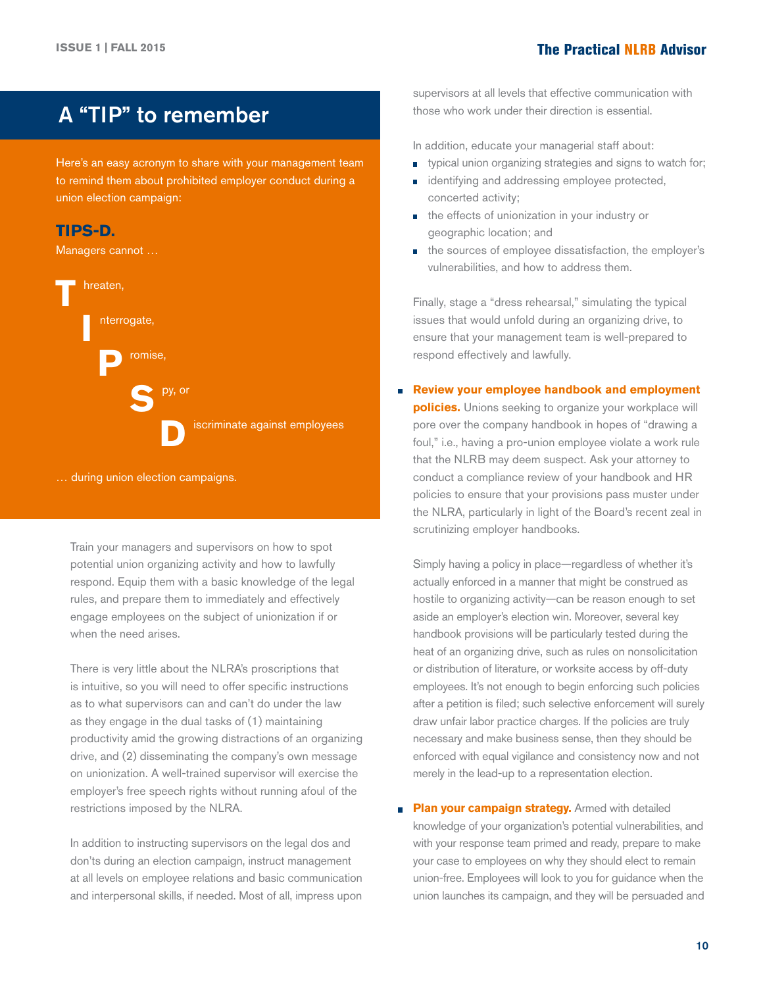## A "TIP" to remember

Here's an easy acronym to share with your management team to remind them about prohibited employer conduct during a union election campaign:

## **TIPS-D.**

Managers cannot ...



… during union election campaigns.

Train your managers and supervisors on how to spot potential union organizing activity and how to lawfully respond. Equip them with a basic knowledge of the legal rules, and prepare them to immediately and effectively engage employees on the subject of unionization if or when the need arises.

There is very little about the NLRA's proscriptions that is intuitive, so you will need to offer specific instructions as to what supervisors can and can't do under the law as they engage in the dual tasks of (1) maintaining productivity amid the growing distractions of an organizing drive, and (2) disseminating the company's own message on unionization. A well-trained supervisor will exercise the employer's free speech rights without running afoul of the restrictions imposed by the NLRA.

In addition to instructing supervisors on the legal dos and don'ts during an election campaign, instruct management at all levels on employee relations and basic communication and interpersonal skills, if needed. Most of all, impress upon supervisors at all levels that effective communication with those who work under their direction is essential.

In addition, educate your managerial staff about:

- m. typical union organizing strategies and signs to watch for;
- identifying and addressing employee protected,  $\overline{\phantom{a}}$ concerted activity;
- the effects of unionization in your industry or geographic location; and
- the sources of employee dissatisfaction, the employer's vulnerabilities, and how to address them.

Finally, stage a "dress rehearsal," simulating the typical issues that would unfold during an organizing drive, to ensure that your management team is well-prepared to respond effectively and lawfully.

**Review your employee handbook and employment policies.** Unions seeking to organize your workplace will pore over the company handbook in hopes of "drawing a foul," i.e., having a pro-union employee violate a work rule that the NLRB may deem suspect. Ask your attorney to conduct a compliance review of your handbook and HR policies to ensure that your provisions pass muster under the NLRA, particularly in light of the Board's recent zeal in scrutinizing employer handbooks.

Simply having a policy in place—regardless of whether it's actually enforced in a manner that might be construed as hostile to organizing activity—can be reason enough to set aside an employer's election win. Moreover, several key handbook provisions will be particularly tested during the heat of an organizing drive, such as rules on nonsolicitation or distribution of literature, or worksite access by off-duty employees. It's not enough to begin enforcing such policies after a petition is filed; such selective enforcement will surely draw unfair labor practice charges. If the policies are truly necessary and make business sense, then they should be enforced with equal vigilance and consistency now and not merely in the lead-up to a representation election.

**Plan your campaign strategy.** Armed with detailed knowledge of your organization's potential vulnerabilities, and with your response team primed and ready, prepare to make your case to employees on why they should elect to remain union-free. Employees will look to you for guidance when the union launches its campaign, and they will be persuaded and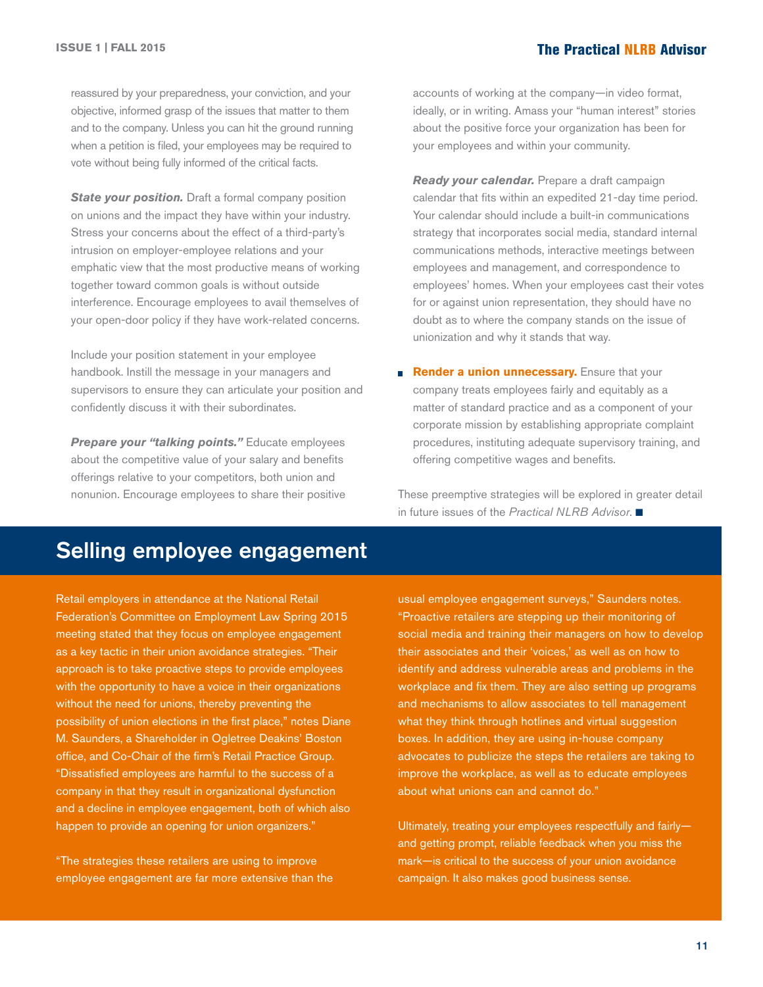reassured by your preparedness, your conviction, and your objective, informed grasp of the issues that matter to them and to the company. Unless you can hit the ground running when a petition is filed, your employees may be required to vote without being fully informed of the critical facts.

*State your position.* Draft a formal company position on unions and the impact they have within your industry. Stress your concerns about the effect of a third-party's intrusion on employer-employee relations and your emphatic view that the most productive means of working together toward common goals is without outside interference. Encourage employees to avail themselves of your open-door policy if they have work-related concerns.

Include your position statement in your employee handbook. Instill the message in your managers and supervisors to ensure they can articulate your position and confidently discuss it with their subordinates.

*Prepare your "talking points."* Educate employees about the competitive value of your salary and benefits offerings relative to your competitors, both union and nonunion. Encourage employees to share their positive accounts of working at the company—in video format, ideally, or in writing. Amass your "human interest" stories about the positive force your organization has been for your employees and within your community.

*Ready your calendar.* Prepare a draft campaign calendar that fits within an expedited 21-day time period. Your calendar should include a built-in communications strategy that incorporates social media, standard internal communications methods, interactive meetings between employees and management, and correspondence to employees' homes. When your employees cast their votes for or against union representation, they should have no doubt as to where the company stands on the issue of unionization and why it stands that way.

**Render a union unnecessary.** Ensure that your company treats employees fairly and equitably as a matter of standard practice and as a component of your corporate mission by establishing appropriate complaint procedures, instituting adequate supervisory training, and offering competitive wages and benefits.

These preemptive strategies will be explored in greater detail in future issues of the *Practical NLRB Advisor*. ■

## Selling employee engagement

Retail employers in attendance at the National Retail Federation's Committee on Employment Law Spring 2015 meeting stated that they focus on employee engagement as a key tactic in their union avoidance strategies. "Their approach is to take proactive steps to provide employees with the opportunity to have a voice in their organizations without the need for unions, thereby preventing the possibility of union elections in the first place," notes Diane M. Saunders, a Shareholder in Ogletree Deakins' Boston office, and Co-Chair of the firm's Retail Practice Group. "Dissatisfied employees are harmful to the success of a company in that they result in organizational dysfunction and a decline in employee engagement, both of which also happen to provide an opening for union organizers."

"The strategies these retailers are using to improve employee engagement are far more extensive than the

usual employee engagement surveys," Saunders notes. "Proactive retailers are stepping up their monitoring of social media and training their managers on how to develop their associates and their 'voices,' as well as on how to identify and address vulnerable areas and problems in the workplace and fix them. They are also setting up programs and mechanisms to allow associates to tell management what they think through hotlines and virtual suggestion boxes. In addition, they are using in-house company advocates to publicize the steps the retailers are taking to improve the workplace, as well as to educate employees about what unions can and cannot do."

Ultimately, treating your employees respectfully and fairly and getting prompt, reliable feedback when you miss the mark—is critical to the success of your union avoidance campaign. It also makes good business sense.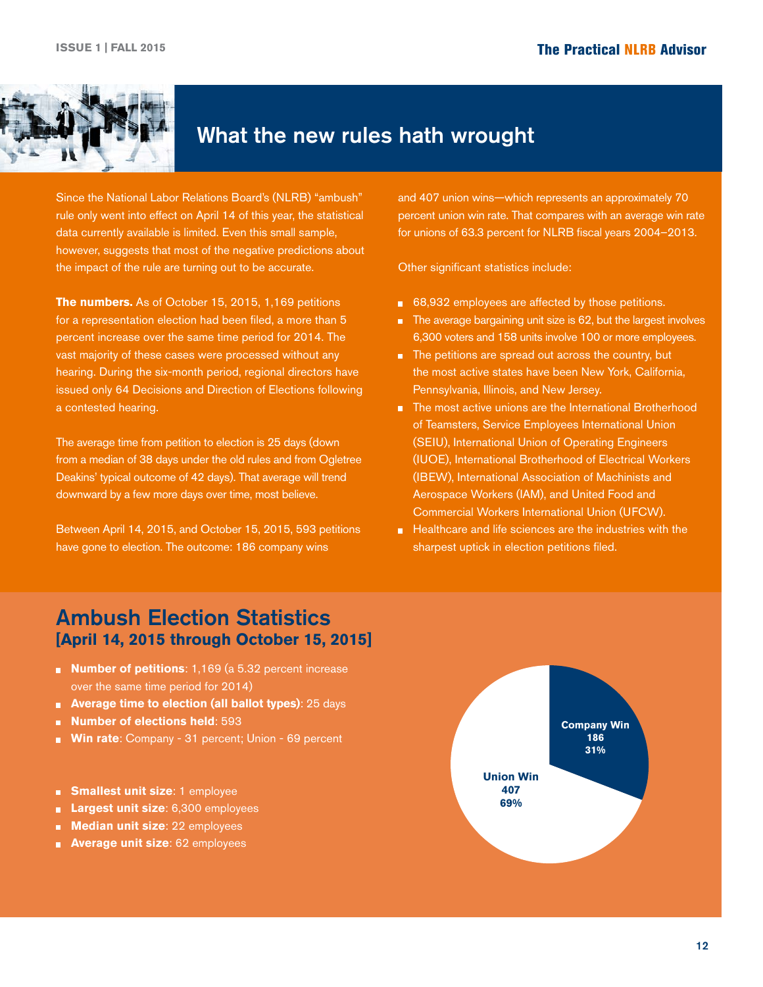<span id="page-11-0"></span>

## What the new rules hath wrought

Since the National Labor Relations Board's (NLRB) "ambush" rule only went into effect on April 14 of this year, the statistical data currently available is limited. Even this small sample, however, suggests that most of the negative predictions about the impact of the rule are turning out to be accurate.

**The numbers.** As of October 15, 2015, 1,169 petitions for a representation election had been filed, a more than 5 percent increase over the same time period for 2014. The vast majority of these cases were processed without any hearing. During the six-month period, regional directors have issued only 64 Decisions and Direction of Elections following a contested hearing.

The average time from petition to election is 25 days (down from a median of 38 days under the old rules and from Ogletree Deakins' typical outcome of 42 days). That average will trend downward by a few more days over time, most believe.

Between April 14, 2015, and October 15, 2015, 593 petitions have gone to election. The outcome: 186 company wins

and 407 union wins—which represents an approximately 70 percent union win rate. That compares with an average win rate for unions of 63.3 percent for NLRB fiscal years 2004–2013.

Other significant statistics include:

- 68,932 employees are affected by those petitions.
- The average bargaining unit size is 62, but the largest involves 6,300 voters and 158 units involve 100 or more employees.
- The petitions are spread out across the country, but the most active states have been New York, California, Pennsylvania, Illinois, and New Jersey.
- The most active unions are the International Brotherhood of Teamsters, Service Employees International Union (SEIU), International Union of Operating Engineers (IUOE), International Brotherhood of Electrical Workers (IBEW), International Association of Machinists and Aerospace Workers (IAM), and United Food and Commercial Workers International Union (UFCW).
- Healthcare and life sciences are the industries with the sharpest uptick in election petitions filed.

## Ambush Election Statistics **[April 14, 2015 through October 15, 2015]**

- **Number of petitions**: 1,169 (a 5.32 percent increase over the same time period for 2014)
- **Average time to election (all ballot types)**: 25 days
- **Number of elections held**: 593
- **Win rate**: Company 31 percent; Union 69 percent
- **Smallest unit size**: 1 employee m.
- **Largest unit size**: 6,300 employees n.
- **Median unit size**: 22 employees 'n
- **Average unit size**: 62 employees a.

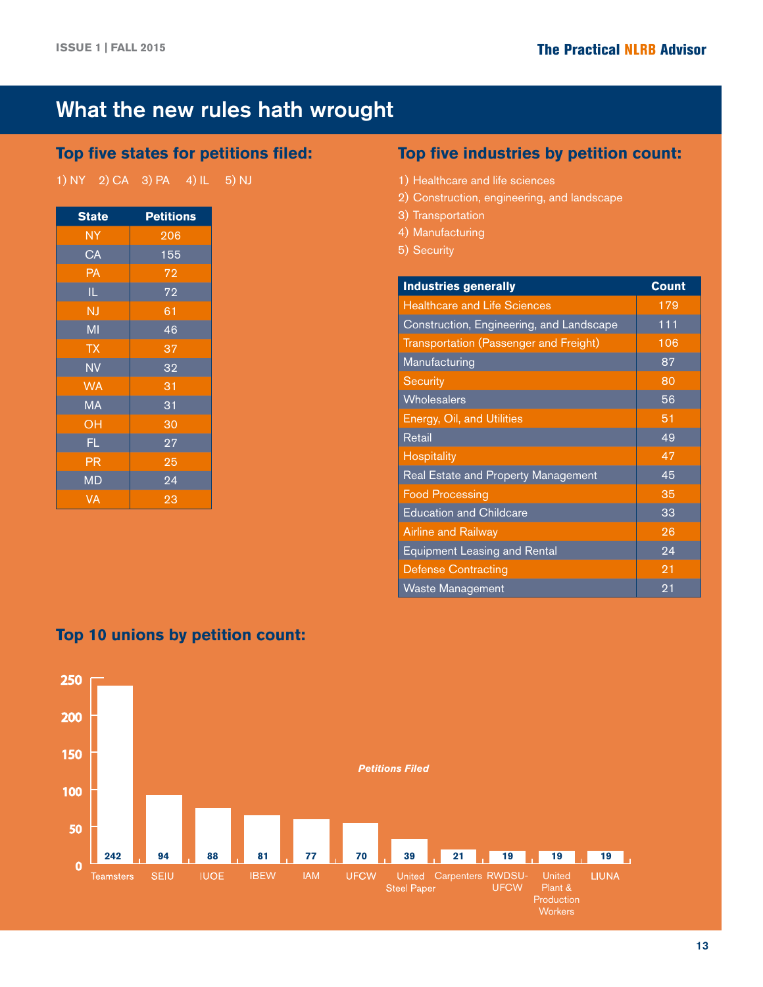## What the new rules hath wrought

## **Top five states for petitions filed:**

| 1) NY 2) CA 3) PA |  |  | $(4)$ IL | 5) NJ |
|-------------------|--|--|----------|-------|
|-------------------|--|--|----------|-------|

| <b>State</b>           | <b>Petitions</b> |
|------------------------|------------------|
| <b>NY</b>              | 206              |
| $\overline{CA}$        | 155              |
| $\overline{PA}$        | 72               |
| IL                     | $7\overline{2}$  |
| <b>NJ</b>              | 61               |
| MI                     | 46               |
| <b>TX</b>              | 37               |
| <b>NV</b>              | 32               |
| <b>WA</b>              | 31               |
| <b>MA</b>              | 31               |
| OH                     | 30               |
| FL.                    | 27               |
| $\overline{\text{PR}}$ | 25               |
| <b>MD</b>              | 24               |
| VA                     | 23               |

## **Top five industries by petition count:**

- 1) Healthcare and life sciences
- 2) Construction, engineering, and landscape
- 3) Transportation
- 4) Manufacturing
- 5) Security

| <b>Industries generally</b>              | <b>Count</b> |
|------------------------------------------|--------------|
| <b>Healthcare and Life Sciences</b>      | 179          |
| Construction, Engineering, and Landscape | 111          |
| Transportation (Passenger and Freight)   | 106          |
| Manufacturing                            | 87           |
| Security                                 | 80           |
| Wholesalers                              | 56           |
| Energy, Oil, and Utilities               | 51           |
| Retail                                   | 49           |
| <b>Hospitality</b>                       | 47           |
| Real Estate and Property Management      | 45           |
| <b>Food Processing</b>                   | 35           |
| <b>Education and Childcare</b>           | 33           |
| <b>Airline and Railway</b>               | 26           |
| <b>Equipment Leasing and Rental</b>      | 24           |
| <b>Defense Contracting</b>               | 21           |
| <b>Waste Management</b>                  | 21           |

## **Top 10 unions by petition count:**

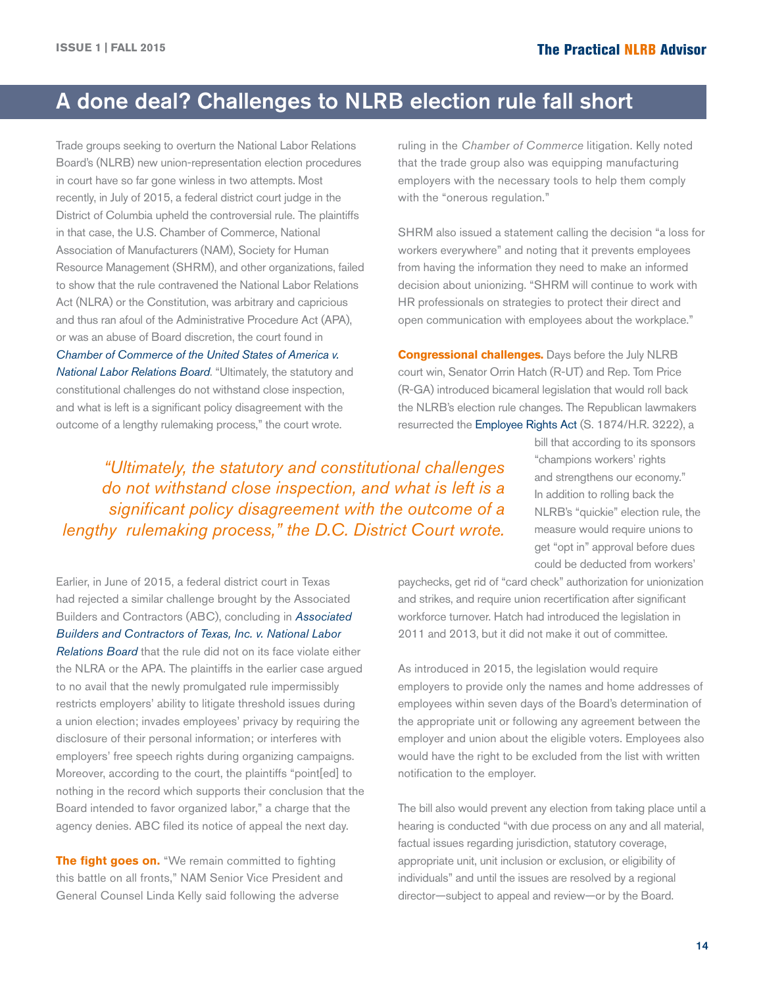## <span id="page-13-0"></span>A done deal? Challenges to NLRB election rule fall short

Trade groups seeking to overturn the National Labor Relations Board's (NLRB) new union-representation election procedures in court have so far gone winless in two attempts. Most recently, in July of 2015, a federal district court judge in the District of Columbia upheld the controversial rule. The plaintiffs in that case, the U.S. Chamber of Commerce, National Association of Manufacturers (NAM), Society for Human Resource Management (SHRM), and other organizations, failed to show that the rule contravened the National Labor Relations Act (NLRA) or the Constitution, was arbitrary and capricious and thus ran afoul of the Administrative Procedure Act (APA), or was an abuse of Board discretion, the court found in *[Chamber of Commerce of the United States of America v.](http://hr.cch.com/ELD/ChamberNLRB073015.pdf)  [National Labor Relations Bo](http://hr.cch.com/ELD/ChamberNLRB073015.pdf)ard*. "Ultimately, the statutory and constitutional challenges do not withstand close inspection, and what is left is a significant policy disagreement with the outcome of a lengthy rulemaking process," the court wrote.

ruling in the *Chamber of Commerce* litigation. Kelly noted that the trade group also was equipping manufacturing employers with the necessary tools to help them comply with the "onerous regulation."

SHRM also issued a statement calling the decision "a loss for workers everywhere" and noting that it prevents employees from having the information they need to make an informed decision about unionizing. "SHRM will continue to work with HR professionals on strategies to protect their direct and open communication with employees about the workplace."

**Congressional challenges.** Days before the July NLRB court win, Senator Orrin Hatch (R-UT) and Rep. Tom Price (R-GA) introduced bicameral legislation that would roll back the NLRB's election rule changes. The Republican lawmakers resurrected the [Employee Rights Act](https://www.congress.gov/bill/114th-congress/senate-bill/1874/text) (S. 1874/H.R. 3222), a

*"Ultimately, the statutory and constitutional challenges do not withstand close inspection, and what is left is a significant policy disagreement with the outcome of a lengthy rulemaking process," the D.C. District Court wrote.* 

bill that according to its sponsors "champions workers' rights and strengthens our economy." In addition to rolling back the NLRB's "quickie" election rule, the measure would require unions to get "opt in" approval before dues could be deducted from workers'

Earlier, in June of 2015, a federal district court in Texas had rejected a similar challenge brought by the Associated Builders and Contractors (ABC), concluding in *[Associated](http://hr.cch.com/ELD/ABCNLRB.pdf)  [Builders and Contractors of Texas, Inc. v. National Labor](http://hr.cch.com/ELD/ABCNLRB.pdf)  [Relations B](http://hr.cch.com/ELD/ABCNLRB.pdf)oard* that the rule did not on its face violate either the NLRA or the APA. The plaintiffs in the earlier case argued to no avail that the newly promulgated rule impermissibly restricts employers' ability to litigate threshold issues during a union election; invades employees' privacy by requiring the disclosure of their personal information; or interferes with employers' free speech rights during organizing campaigns. Moreover, according to the court, the plaintiffs "point[ed] to nothing in the record which supports their conclusion that the Board intended to favor organized labor," a charge that the agency denies. ABC filed its notice of appeal the next day.

**The fight goes on.** "We remain committed to fighting this battle on all fronts," NAM Senior Vice President and General Counsel Linda Kelly said following the adverse

paychecks, get rid of "card check" authorization for unionization and strikes, and require union recertification after significant workforce turnover. Hatch had introduced the legislation in 2011 and 2013, but it did not make it out of committee.

As introduced in 2015, the legislation would require employers to provide only the names and home addresses of employees within seven days of the Board's determination of the appropriate unit or following any agreement between the employer and union about the eligible voters. Employees also would have the right to be excluded from the list with written notification to the employer.

The bill also would prevent any election from taking place until a hearing is conducted "with due process on any and all material, factual issues regarding jurisdiction, statutory coverage, appropriate unit, unit inclusion or exclusion, or eligibility of individuals" and until the issues are resolved by a regional director—subject to appeal and review—or by the Board.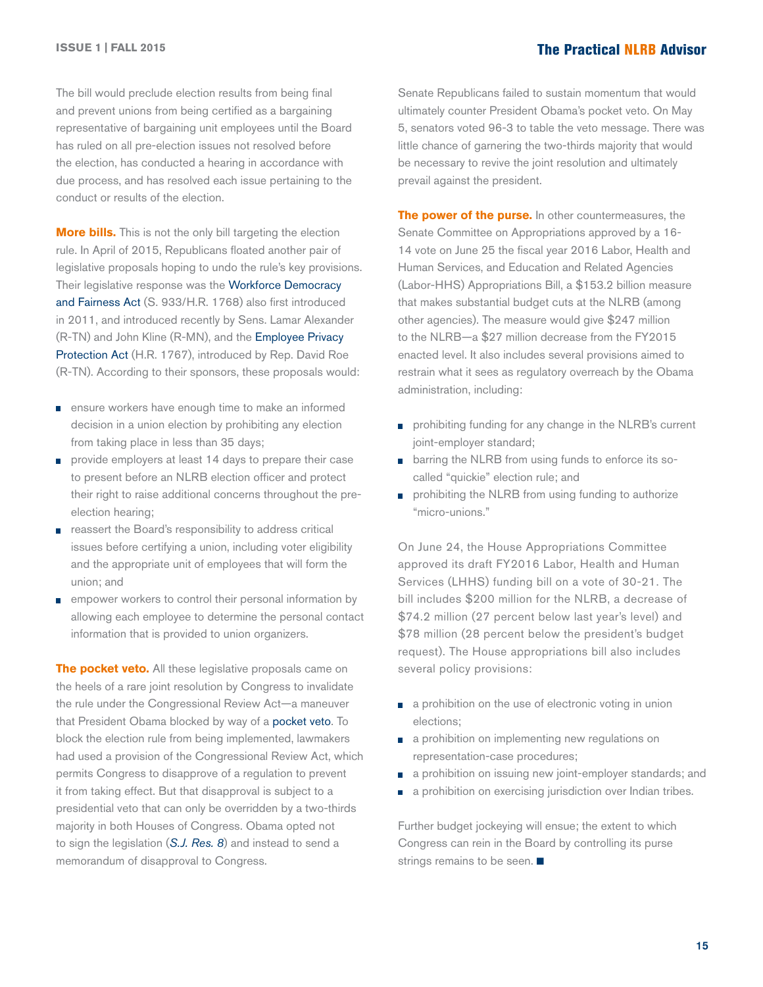The bill would preclude election results from being final and prevent unions from being certified as a bargaining representative of bargaining unit employees until the Board has ruled on all pre-election issues not resolved before the election, has conducted a hearing in accordance with due process, and has resolved each issue pertaining to the conduct or results of the election.

**More bills.** This is not the only bill targeting the election rule. In April of 2015, Republicans floated another pair of legislative proposals hoping to undo the rule's key provisions. Their legislative response was the Workforce Democracy [and Fairness Act](http://hr.cch.com/ELD/WorkforceDemocracyandFairnessAct.pdf) (S. 933/H.R. 1768) also first introduced in 2011, and introduced recently by Sens. Lamar Alexander (R-TN) and John Kline (R-MN), and the [Employee Privacy](http://hr.cch.com/ELD/EmployeePrivacyProtectionAct.pdf)  [Protection Act](http://hr.cch.com/ELD/EmployeePrivacyProtectionAct.pdf) (H.R. 1767), introduced by Rep. David Roe (R-TN). According to their sponsors, these proposals would:

- ensure workers have enough time to make an informed n. decision in a union election by prohibiting any election from taking place in less than 35 days;
- provide employers at least 14 days to prepare their case m. to present before an NLRB election officer and protect their right to raise additional concerns throughout the preelection hearing;
- reassert the Board's responsibility to address critical n issues before certifying a union, including voter eligibility and the appropriate unit of employees that will form the union; and
- empower workers to control their personal information by П allowing each employee to determine the personal contact information that is provided to union organizers.

**The pocket veto.** All these legislative proposals came on the heels of a rare joint resolution by Congress to invalidate the rule under the Congressional Review Act—a maneuver that President Obama blocked by way of a [pocket veto.](https://www.whitehouse.gov/the-press-office/2015/03/31/memorandum-disapproval-regarding-sj-res-8) To block the election rule from being implemented, lawmakers had used a provision of the Congressional Review Act, which permits Congress to disapprove of a regulation to prevent it from taking effect. But that disapproval is subject to a presidential veto that can only be overridden by a two-thirds majority in both Houses of Congress. Obama opted not to sign the legislation (*[S.J. Res. 8](http://hr.cch.com/ELD/SJRes8.pdf)*) and instead to send a memorandum of disapproval to Congress.

Senate Republicans failed to sustain momentum that would ultimately counter President Obama's pocket veto. On May 5, senators voted 96-3 to table the veto message. There was little chance of garnering the two-thirds majority that would be necessary to revive the joint resolution and ultimately prevail against the president.

**The power of the purse.** In other countermeasures, the Senate Committee on Appropriations approved by a 16- 14 vote on June 25 the fiscal year 2016 Labor, Health and Human Services, and Education and Related Agencies (Labor-HHS) Appropriations Bill, a \$153.2 billion measure that makes substantial budget cuts at the NLRB (among other agencies). The measure would give \$247 million to the NLRB—a \$27 million decrease from the FY2015 enacted level. It also includes several provisions aimed to restrain what it sees as regulatory overreach by the Obama administration, including:

- **prohibiting funding for any change in the NLRB's current** joint-employer standard;
- **B** barring the NLRB from using funds to enforce its socalled "quickie" election rule; and
- **prohibiting the NLRB from using funding to authorize** "micro-unions."

On June 24, the House Appropriations Committee approved its draft FY2016 Labor, Health and Human Services (LHHS) funding bill on a vote of 30-21. The bill includes \$200 million for the NLRB, a decrease of \$74.2 million (27 percent below last year's level) and \$78 million (28 percent below the president's budget request). The House appropriations bill also includes several policy provisions:

- **a** a prohibition on the use of electronic voting in union elections;
- a prohibition on implementing new regulations on representation-case procedures;
- **a** a prohibition on issuing new joint-employer standards; and
- a prohibition on exercising jurisdiction over Indian tribes. m,

Further budget jockeying will ensue; the extent to which Congress can rein in the Board by controlling its purse strings remains to be seen.  $\blacksquare$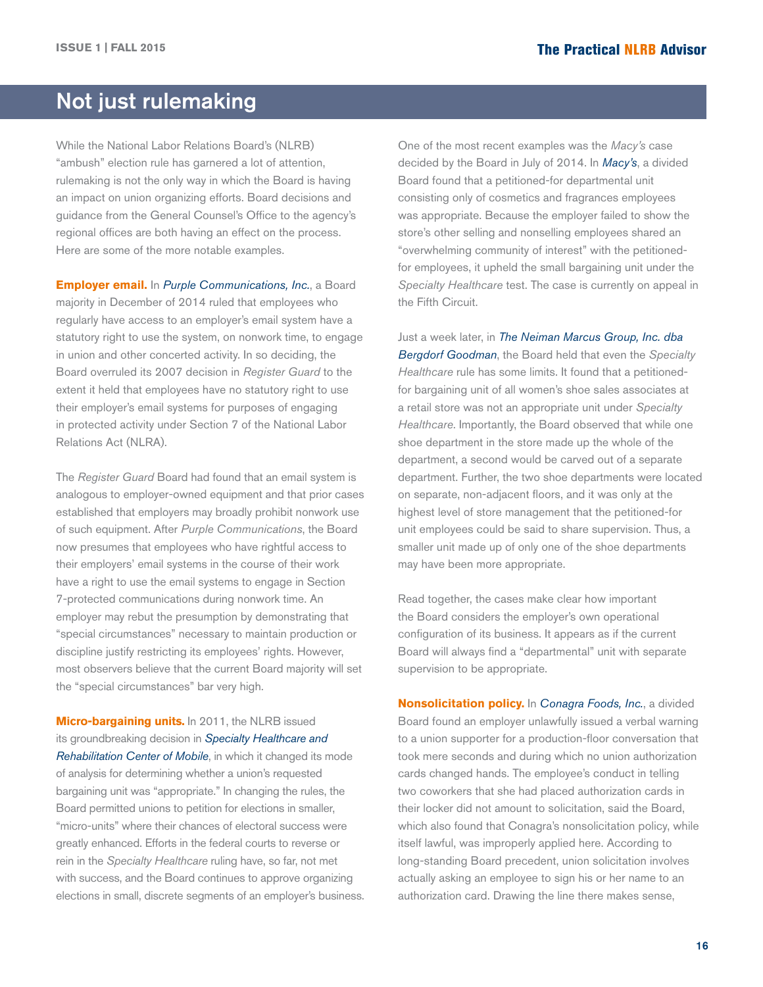## <span id="page-15-0"></span>Not just rulemaking

While the National Labor Relations Board's (NLRB) "ambush" election rule has garnered a lot of attention, rulemaking is not the only way in which the Board is having an impact on union organizing efforts. Board decisions and guidance from the General Counsel's Office to the agency's regional offices are both having an effect on the process. Here are some of the more notable examples.

**Employer email.** In *[Purple Communications, Inc.](http://hr.cch.com/ELD/PurpleCommunicationsNLRB121014.pdf)*, a Board majority in December of 2014 ruled that employees who regularly have access to an employer's email system have a statutory right to use the system, on nonwork time, to engage in union and other concerted activity. In so deciding, the Board overruled its 2007 decision in *Register Guard* to the extent it held that employees have no statutory right to use their employer's email systems for purposes of engaging in protected activity under Section 7 of the National Labor Relations Act (NLRA).

The *Register Guard* Board had found that an email system is analogous to employer-owned equipment and that prior cases established that employers may broadly prohibit nonwork use of such equipment. After *Purple Communications*, the Board now presumes that employees who have rightful access to their employers' email systems in the course of their work have a right to use the email systems to engage in Section 7-protected communications during nonwork time. An employer may rebut the presumption by demonstrating that "special circumstances" necessary to maintain production or discipline justify restricting its employees' rights. However, most observers believe that the current Board majority will set the "special circumstances" bar very high.

**Micro-bargaining units.** In 2011, the NLRB issued its groundbreaking decision in *[Specialty Healthcare and](http://hr.cch.com/eld/SpecialtyHealthcare.pdf)  [Rehabilitation Center of Mobile](http://hr.cch.com/eld/SpecialtyHealthcare.pdf)*, in which it changed its mode of analysis for determining whether a union's requested bargaining unit was "appropriate." In changing the rules, the Board permitted unions to petition for elections in smaller, "micro-units" where their chances of electoral success were greatly enhanced. Efforts in the federal courts to reverse or rein in the *Specialty Healthcare* ruling have, so far, not met with success, and the Board continues to approve organizing elections in small, discrete segments of an employer's business.

One of the most recent examples was the *Macy's* case decided by the Board in July of 2014. In *[Macy's](http://hr.cch.com/eld/28b38da67bec1000a710e0db5501c0ed01.pdf)*, a divided Board found that a petitioned-for departmental unit consisting only of cosmetics and fragrances employees was appropriate. Because the employer failed to show the store's other selling and nonselling employees shared an "overwhelming community of interest" with the petitionedfor employees, it upheld the small bargaining unit under the *Specialty Healthcare* test. The case is currently on appeal in the Fifth Circuit.

Just a week later, in *[The Neiman Marcus Group, Inc. dba](http://hr.cch.com/eld/5cc027707bed1000803ce0db5501c0ed01.pdf)  [Bergdorf Goodman](http://hr.cch.com/eld/5cc027707bed1000803ce0db5501c0ed01.pdf)*, the Board held that even the *Specialty Healthcare* rule has some limits. It found that a petitionedfor bargaining unit of all women's shoe sales associates at a retail store was not an appropriate unit under *Specialty Healthcare*. Importantly, the Board observed that while one shoe department in the store made up the whole of the department, a second would be carved out of a separate department. Further, the two shoe departments were located on separate, non-adjacent floors, and it was only at the highest level of store management that the petitioned-for unit employees could be said to share supervision. Thus, a smaller unit made up of only one of the shoe departments may have been more appropriate.

Read together, the cases make clear how important the Board considers the employer's own operational configuration of its business. It appears as if the current Board will always find a "departmental" unit with separate supervision to be appropriate.

**Nonsolicitation policy.** In *[Conagra Foods, Inc.](http://hr.cch.com/ELD/ConagraFoods.pdf)*, a divided Board found an employer unlawfully issued a verbal warning to a union supporter for a production-floor conversation that took mere seconds and during which no union authorization cards changed hands. The employee's conduct in telling two coworkers that she had placed authorization cards in their locker did not amount to solicitation, said the Board, which also found that Conagra's nonsolicitation policy, while itself lawful, was improperly applied here. According to long-standing Board precedent, union solicitation involves actually asking an employee to sign his or her name to an authorization card. Drawing the line there makes sense,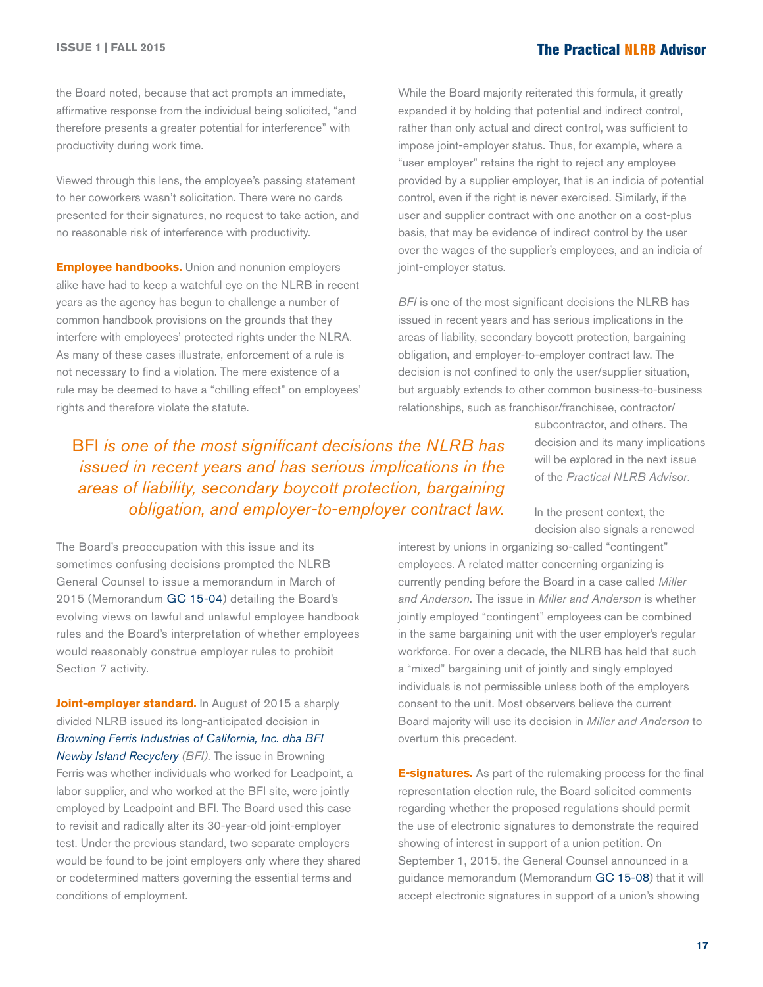the Board noted, because that act prompts an immediate, affirmative response from the individual being solicited, "and therefore presents a greater potential for interference" with productivity during work time.

Viewed through this lens, the employee's passing statement to her coworkers wasn't solicitation. There were no cards presented for their signatures, no request to take action, and no reasonable risk of interference with productivity.

**Employee handbooks.** Union and nonunion employers alike have had to keep a watchful eye on the NLRB in recent years as the agency has begun to challenge a number of common handbook provisions on the grounds that they interfere with employees' protected rights under the NLRA. As many of these cases illustrate, enforcement of a rule is not necessary to find a violation. The mere existence of a rule may be deemed to have a "chilling effect" on employees' rights and therefore violate the statute.

While the Board majority reiterated this formula, it greatly expanded it by holding that potential and indirect control, rather than only actual and direct control, was sufficient to impose joint-employer status. Thus, for example, where a "user employer" retains the right to reject any employee provided by a supplier employer, that is an indicia of potential control, even if the right is never exercised. Similarly, if the user and supplier contract with one another on a cost-plus basis, that may be evidence of indirect control by the user over the wages of the supplier's employees, and an indicia of joint-employer status.

*BFI* is one of the most significant decisions the NLRB has issued in recent years and has serious implications in the areas of liability, secondary boycott protection, bargaining obligation, and employer-to-employer contract law. The decision is not confined to only the user/supplier situation, but arguably extends to other common business-to-business relationships, such as franchisor/franchisee, contractor/

## BFI *is one of the most significant decisions the NLRB has issued in recent years and has serious implications in the areas of liability, secondary boycott protection, bargaining obligation, and employer-to-employer contract law.*

The Board's preoccupation with this issue and its sometimes confusing decisions prompted the NLRB General Counsel to issue a memorandum in March of 2015 (Memorandum [GC 15-04\)](http://hr.cch.com/ELD/GCMemoEmployerRules.pdf) detailing the Board's evolving views on lawful and unlawful employee handbook rules and the Board's interpretation of whether employees would reasonably construe employer rules to prohibit Section 7 activity.

**Joint-employer standard.** In August of 2015 a sharply divided NLRB issued its long-anticipated decision in *[Browning Ferris Industries of California, Inc. dba BFI](http://hr.cch.com/ELD/BrowningFerris.pdf)  [Newby Island Recyclery](http://hr.cch.com/ELD/BrowningFerris.pdf) (BFI)*. The issue in Browning Ferris was whether individuals who worked for Leadpoint, a labor supplier, and who worked at the BFI site, were jointly employed by Leadpoint and BFI. The Board used this case to revisit and radically alter its 30-year-old joint-employer test. Under the previous standard, two separate employers would be found to be joint employers only where they shared or codetermined matters governing the essential terms and conditions of employment.

subcontractor, and others. The decision and its many implications will be explored in the next issue of the *Practical NLRB Advisor*.

In the present context, the decision also signals a renewed

interest by unions in organizing so-called "contingent" employees. A related matter concerning organizing is currently pending before the Board in a case called *Miller and Anderson*. The issue in *Miller and Anderson* is whether jointly employed "contingent" employees can be combined in the same bargaining unit with the user employer's regular workforce. For over a decade, the NLRB has held that such a "mixed" bargaining unit of jointly and singly employed individuals is not permissible unless both of the employers consent to the unit. Most observers believe the current Board majority will use its decision in *Miller and Anderson* to overturn this precedent.

**E-signatures.** As part of the rulemaking process for the final representation election rule, the Board solicited comments regarding whether the proposed regulations should permit the use of electronic signatures to demonstrate the required showing of interest in support of a union petition. On September 1, 2015, the General Counsel announced in a guidance memorandum (Memorandum [GC 15-08](http://hr.cch.com/ELD/GC15_08GuidanceMemorandumonElectronicSignaturestoSupportaShowingofInterest.pdf)) that it will accept electronic signatures in support of a union's showing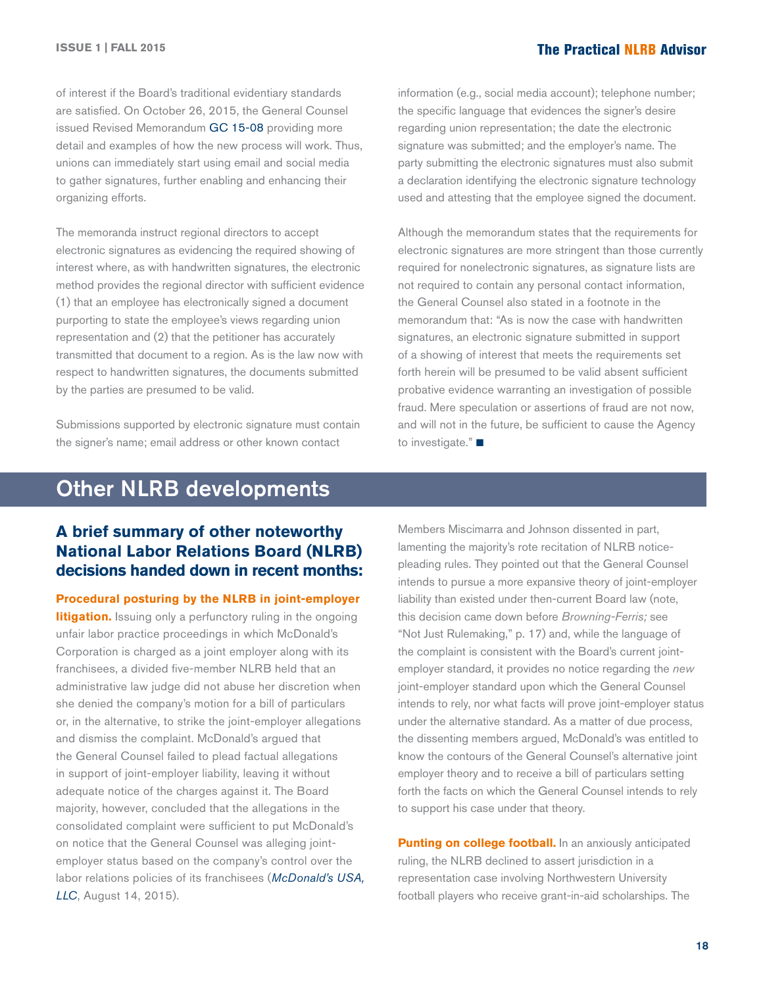<span id="page-17-0"></span>of interest if the Board's traditional evidentiary standards are satisfied. On October 26, 2015, the General Counsel issued Revised Memorandum [GC 15-08](http://apps.nlrb.gov/link/document.aspx/09031d4581e5edc8) providing more detail and examples of how the new process will work. Thus, unions can immediately start using email and social media to gather signatures, further enabling and enhancing their organizing efforts.

The memoranda instruct regional directors to accept electronic signatures as evidencing the required showing of interest where, as with handwritten signatures, the electronic method provides the regional director with sufficient evidence (1) that an employee has electronically signed a document purporting to state the employee's views regarding union representation and (2) that the petitioner has accurately transmitted that document to a region. As is the law now with respect to handwritten signatures, the documents submitted by the parties are presumed to be valid.

Submissions supported by electronic signature must contain the signer's name; email address or other known contact

information (e.g., social media account); telephone number; the specific language that evidences the signer's desire regarding union representation; the date the electronic signature was submitted; and the employer's name. The party submitting the electronic signatures must also submit a declaration identifying the electronic signature technology used and attesting that the employee signed the document.

Although the memorandum states that the requirements for electronic signatures are more stringent than those currently required for nonelectronic signatures, as signature lists are not required to contain any personal contact information, the General Counsel also stated in a footnote in the memorandum that: "As is now the case with handwritten signatures, an electronic signature submitted in support of a showing of interest that meets the requirements set forth herein will be presumed to be valid absent sufficient probative evidence warranting an investigation of possible fraud. Mere speculation or assertions of fraud are not now, and will not in the future, be sufficient to cause the Agency to investigate." $\blacksquare$ 

## Other NLRB developments

## **A brief summary of other noteworthy National Labor Relations Board (NLRB) decisions handed down in recent months:**

**Procedural posturing by the NLRB in joint-employer litigation.** Issuing only a perfunctory ruling in the ongoing unfair labor practice proceedings in which McDonald's Corporation is charged as a joint employer along with its franchisees, a divided five-member NLRB held that an administrative law judge did not abuse her discretion when she denied the company's motion for a bill of particulars or, in the alternative, to strike the joint-employer allegations and dismiss the complaint. McDonald's argued that the General Counsel failed to plead factual allegations in support of joint-employer liability, leaving it without adequate notice of the charges against it. The Board majority, however, concluded that the allegations in the consolidated complaint were sufficient to put McDonald's on notice that the General Counsel was alleging jointemployer status based on the company's control over the labor relations policies of its franchisees (*[McDonald's USA,](http://hr.cch.com/ELD/McDonalds0814.pdf) [LLC](http://hr.cch.com/ELD/McDonalds0814.pdf)*, August 14, 2015).

Members Miscimarra and Johnson dissented in part, lamenting the majority's rote recitation of NLRB noticepleading rules. They pointed out that the General Counsel intends to pursue a more expansive theory of joint-employer liability than existed under then-current Board law (note, this decision came down before *Browning-Ferris;* see "Not Just Rulemaking," p. 17) and, while the language of the complaint is consistent with the Board's current jointemployer standard, it provides no notice regarding the *new*  joint-employer standard upon which the General Counsel intends to rely, nor what facts will prove joint-employer status under the alternative standard. As a matter of due process, the dissenting members argued, McDonald's was entitled to know the contours of the General Counsel's alternative joint employer theory and to receive a bill of particulars setting forth the facts on which the General Counsel intends to rely to support his case under that theory.

**Punting on college football.** In an anxiously anticipated ruling, the NLRB declined to assert jurisdiction in a representation case involving Northwestern University football players who receive grant-in-aid scholarships. The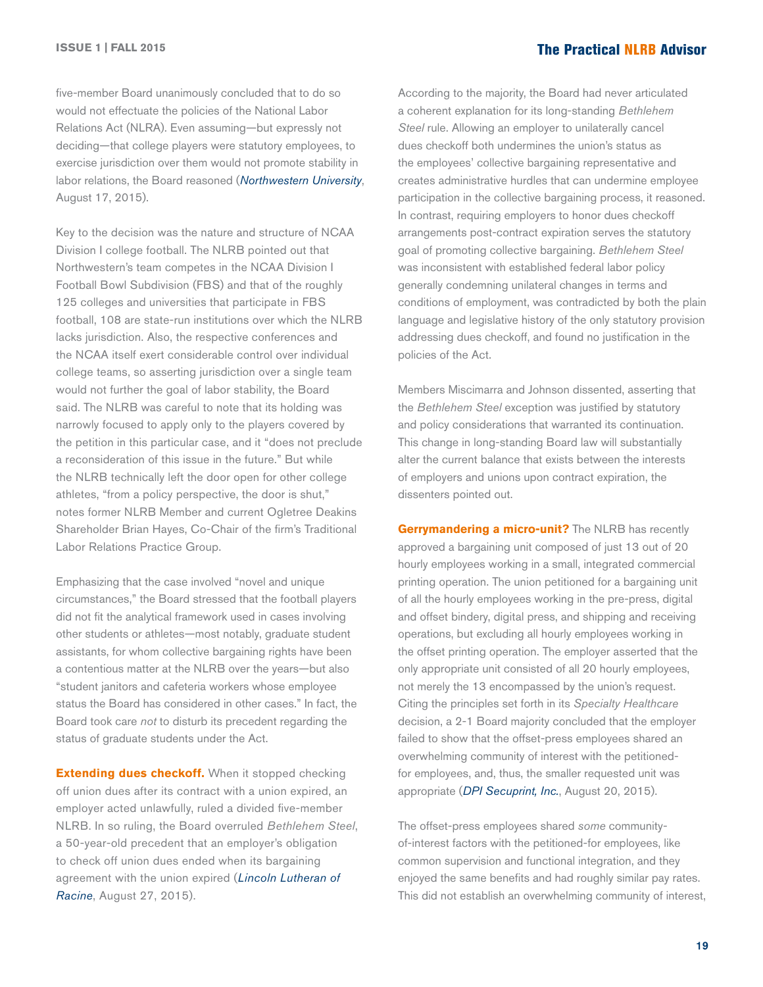five-member Board unanimously concluded that to do so would not effectuate the policies of the National Labor Relations Act (NLRA). Even assuming—but expressly not deciding—that college players were statutory employees, to exercise jurisdiction over them would not promote stability in labor relations, the Board reasoned (*[Northwestern University](http://hr.cch.com/ELD/NorthwesternUniv_081715.pdf)*, August 17, 2015).

Key to the decision was the nature and structure of NCAA Division I college football. The NLRB pointed out that Northwestern's team competes in the NCAA Division I Football Bowl Subdivision (FBS) and that of the roughly 125 colleges and universities that participate in FBS football, 108 are state-run institutions over which the NLRB lacks jurisdiction. Also, the respective conferences and the NCAA itself exert considerable control over individual college teams, so asserting jurisdiction over a single team would not further the goal of labor stability, the Board said. The NLRB was careful to note that its holding was narrowly focused to apply only to the players covered by the petition in this particular case, and it "does not preclude a reconsideration of this issue in the future." But while the NLRB technically left the door open for other college athletes, "from a policy perspective, the door is shut," notes former NLRB Member and current Ogletree Deakins Shareholder Brian Hayes, Co-Chair of the firm's Traditional Labor Relations Practice Group.

Emphasizing that the case involved "novel and unique circumstances," the Board stressed that the football players did not fit the analytical framework used in cases involving other students or athletes—most notably, graduate student assistants, for whom collective bargaining rights have been a contentious matter at the NLRB over the years—but also "student janitors and cafeteria workers whose employee status the Board has considered in other cases." In fact, the Board took care *not* to disturb its precedent regarding the status of graduate students under the Act.

**Extending dues checkoff.** When it stopped checking off union dues after its contract with a union expired, an employer acted unlawfully, ruled a divided five-member NLRB. In so ruling, the Board overruled *Bethlehem Steel*, a 50-year-old precedent that an employer's obligation to check off union dues ended when its bargaining agreement with the union expired (*[Lincoln Lutheran of](http://hr.cch.com/ELD/LincolnLutheran.pdf)  [Racine](http://hr.cch.com/ELD/LincolnLutheran.pdf)*, August 27, 2015).

According to the majority, the Board had never articulated a coherent explanation for its long-standing *Bethlehem Steel* rule. Allowing an employer to unilaterally cancel dues checkoff both undermines the union's status as the employees' collective bargaining representative and creates administrative hurdles that can undermine employee participation in the collective bargaining process, it reasoned. In contrast, requiring employers to honor dues checkoff arrangements post-contract expiration serves the statutory goal of promoting collective bargaining. *Bethlehem Steel*  was inconsistent with established federal labor policy generally condemning unilateral changes in terms and conditions of employment, was contradicted by both the plain language and legislative history of the only statutory provision addressing dues checkoff, and found no justification in the policies of the Act.

Members Miscimarra and Johnson dissented, asserting that the *Bethlehem Steel* exception was justified by statutory and policy considerations that warranted its continuation. This change in long-standing Board law will substantially alter the current balance that exists between the interests of employers and unions upon contract expiration, the dissenters pointed out.

**Gerrymandering a micro-unit?** The NLRB has recently approved a bargaining unit composed of just 13 out of 20 hourly employees working in a small, integrated commercial printing operation. The union petitioned for a bargaining unit of all the hourly employees working in the pre-press, digital and offset bindery, digital press, and shipping and receiving operations, but excluding all hourly employees working in the offset printing operation. The employer asserted that the only appropriate unit consisted of all 20 hourly employees, not merely the 13 encompassed by the union's request. Citing the principles set forth in its *Specialty Healthcare* decision, a 2-1 Board majority concluded that the employer failed to show that the offset-press employees shared an overwhelming community of interest with the petitionedfor employees, and, thus, the smaller requested unit was appropriate (*[DPI Secuprint, Inc.](http://hr.cch.com/ELD/DPISecuprint.pdf)*, August 20, 2015).

The offset-press employees shared *some* communityof-interest factors with the petitioned-for employees, like common supervision and functional integration, and they enjoyed the same benefits and had roughly similar pay rates. This did not establish an overwhelming community of interest,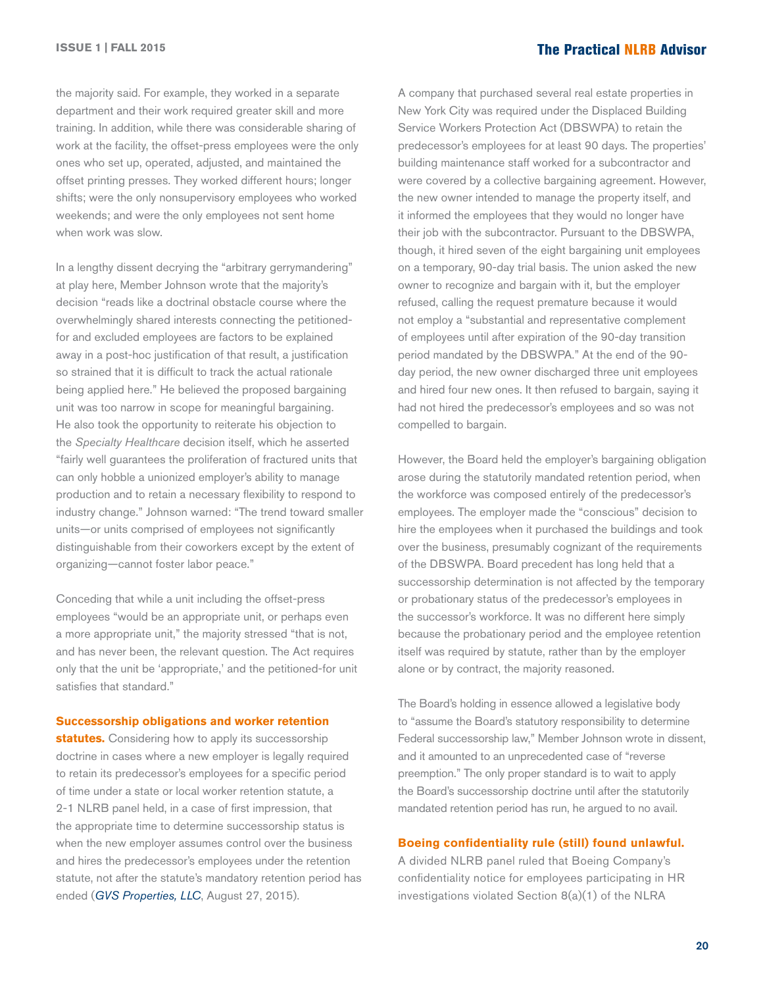the majority said. For example, they worked in a separate department and their work required greater skill and more training. In addition, while there was considerable sharing of work at the facility, the offset-press employees were the only ones who set up, operated, adjusted, and maintained the offset printing presses. They worked different hours; longer shifts; were the only nonsupervisory employees who worked weekends; and were the only employees not sent home when work was slow.

In a lengthy dissent decrying the "arbitrary gerrymandering" at play here, Member Johnson wrote that the majority's decision "reads like a doctrinal obstacle course where the overwhelmingly shared interests connecting the petitionedfor and excluded employees are factors to be explained away in a post-hoc justification of that result, a justification so strained that it is difficult to track the actual rationale being applied here." He believed the proposed bargaining unit was too narrow in scope for meaningful bargaining. He also took the opportunity to reiterate his objection to the *Specialty Healthcare* decision itself, which he asserted "fairly well guarantees the proliferation of fractured units that can only hobble a unionized employer's ability to manage production and to retain a necessary flexibility to respond to industry change." Johnson warned: "The trend toward smaller units—or units comprised of employees not significantly distinguishable from their coworkers except by the extent of organizing—cannot foster labor peace."

Conceding that while a unit including the offset-press employees "would be an appropriate unit, or perhaps even a more appropriate unit," the majority stressed "that is not, and has never been, the relevant question. The Act requires only that the unit be 'appropriate,' and the petitioned-for unit satisfies that standard."

#### **Successorship obligations and worker retention**

**statutes.** Considering how to apply its successorship doctrine in cases where a new employer is legally required to retain its predecessor's employees for a specific period of time under a state or local worker retention statute, a 2-1 NLRB panel held, in a case of first impression, that the appropriate time to determine successorship status is when the new employer assumes control over the business and hires the predecessor's employees under the retention statute, not after the statute's mandatory retention period has ended (*[GVS Properties, LLC](http://hr.cch.com/ELD/GVSProperties.pdf)*, August 27, 2015).

A company that purchased several real estate properties in New York City was required under the Displaced Building Service Workers Protection Act (DBSWPA) to retain the predecessor's employees for at least 90 days. The properties' building maintenance staff worked for a subcontractor and were covered by a collective bargaining agreement. However, the new owner intended to manage the property itself, and it informed the employees that they would no longer have their job with the subcontractor. Pursuant to the DBSWPA, though, it hired seven of the eight bargaining unit employees on a temporary, 90-day trial basis. The union asked the new owner to recognize and bargain with it, but the employer refused, calling the request premature because it would not employ a "substantial and representative complement of employees until after expiration of the 90-day transition period mandated by the DBSWPA." At the end of the 90 day period, the new owner discharged three unit employees and hired four new ones. It then refused to bargain, saying it had not hired the predecessor's employees and so was not compelled to bargain.

However, the Board held the employer's bargaining obligation arose during the statutorily mandated retention period, when the workforce was composed entirely of the predecessor's employees. The employer made the "conscious" decision to hire the employees when it purchased the buildings and took over the business, presumably cognizant of the requirements of the DBSWPA. Board precedent has long held that a successorship determination is not affected by the temporary or probationary status of the predecessor's employees in the successor's workforce. It was no different here simply because the probationary period and the employee retention itself was required by statute, rather than by the employer alone or by contract, the majority reasoned.

The Board's holding in essence allowed a legislative body to "assume the Board's statutory responsibility to determine Federal successorship law," Member Johnson wrote in dissent, and it amounted to an unprecedented case of "reverse preemption." The only proper standard is to wait to apply the Board's successorship doctrine until after the statutorily mandated retention period has run, he argued to no avail.

#### **Boeing confidentiality rule (still) found unlawful.**

A divided NLRB panel ruled that Boeing Company's confidentiality notice for employees participating in HR investigations violated Section 8(a)(1) of the NLRA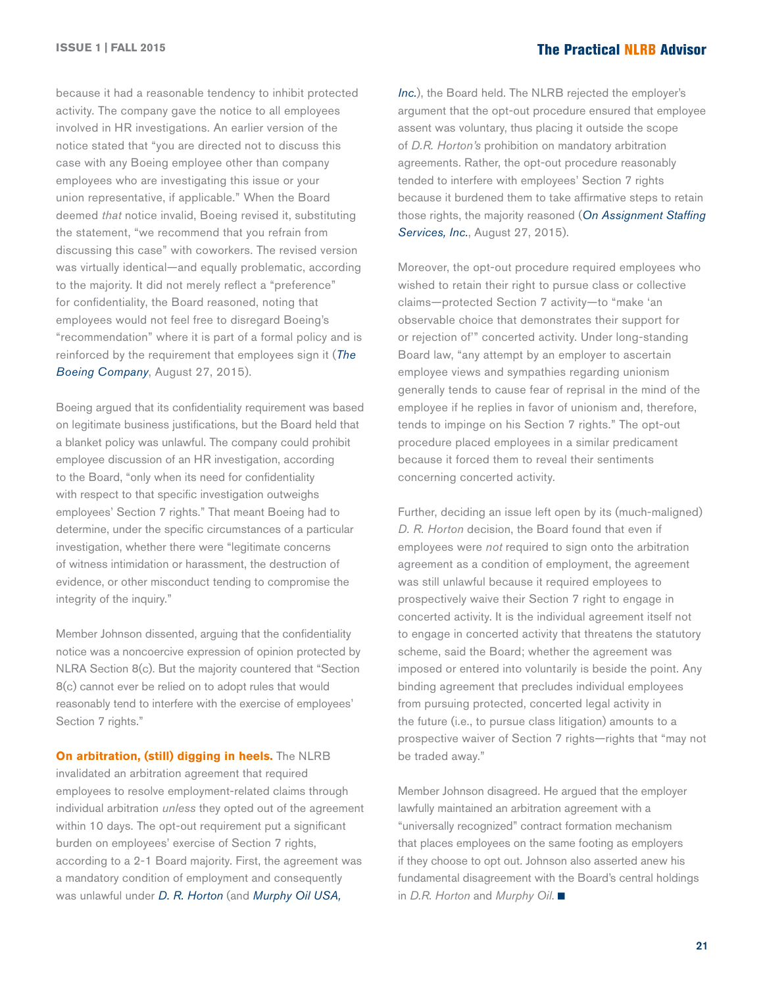because it had a reasonable tendency to inhibit protected activity. The company gave the notice to all employees involved in HR investigations. An earlier version of the notice stated that "you are directed not to discuss this case with any Boeing employee other than company employees who are investigating this issue or your union representative, if applicable." When the Board deemed *that* notice invalid, Boeing revised it, substituting the statement, "we recommend that you refrain from discussing this case" with coworkers. The revised version was virtually identical—and equally problematic, according to the majority. It did not merely reflect a "preference" for confidentiality, the Board reasoned, noting that employees would not feel free to disregard Boeing's "recommendation" where it is part of a formal policy and is reinforced by the requirement that employees sign it (*[The](http://hr.cch.com/ELD/BoeingCo.pdf)  [Boeing Company](http://hr.cch.com/ELD/BoeingCo.pdf)*, August 27, 2015).

Boeing argued that its confidentiality requirement was based on legitimate business justifications, but the Board held that a blanket policy was unlawful. The company could prohibit employee discussion of an HR investigation, according to the Board, "only when its need for confidentiality with respect to that specific investigation outweighs employees' Section 7 rights." That meant Boeing had to determine, under the specific circumstances of a particular investigation, whether there were "legitimate concerns of witness intimidation or harassment, the destruction of evidence, or other misconduct tending to compromise the integrity of the inquiry."

Member Johnson dissented, arguing that the confidentiality notice was a noncoercive expression of opinion protected by NLRA Section 8(c). But the majority countered that "Section 8(c) cannot ever be relied on to adopt rules that would reasonably tend to interfere with the exercise of employees' Section 7 rights."

**On arbitration, (still) digging in heels.** The NLRB invalidated an arbitration agreement that required employees to resolve employment-related claims through individual arbitration *unless* they opted out of the agreement within 10 days. The opt-out requirement put a significant burden on employees' exercise of Section 7 rights, according to a 2-1 Board majority. First, the agreement was a mandatory condition of employment and consequently was unlawful under *[D. R. Horton](http://hr.cch.com/eld/DRHorton.pdf)* (and *[Murphy Oil USA,](http://hr.cch.com/ELD/MurphyOil.pdf)* 

*[Inc.](http://hr.cch.com/ELD/MurphyOil.pdf)*), the Board held. The NLRB rejected the employer's argument that the opt-out procedure ensured that employee assent was voluntary, thus placing it outside the scope of *D.R. Horton's* prohibition on mandatory arbitration agreements. Rather, the opt-out procedure reasonably tended to interfere with employees' Section 7 rights because it burdened them to take affirmative steps to retain those rights, the majority reasoned (*[On Assignment Staffing](http://hr.cch.com/ELD/OnAssignment.pdf)  [Services, Inc.](http://hr.cch.com/ELD/OnAssignment.pdf)*, August 27, 2015).

Moreover, the opt-out procedure required employees who wished to retain their right to pursue class or collective claims—protected Section 7 activity—to "make 'an observable choice that demonstrates their support for or rejection of'" concerted activity. Under long-standing Board law, "any attempt by an employer to ascertain employee views and sympathies regarding unionism generally tends to cause fear of reprisal in the mind of the employee if he replies in favor of unionism and, therefore, tends to impinge on his Section 7 rights." The opt-out procedure placed employees in a similar predicament because it forced them to reveal their sentiments concerning concerted activity.

Further, deciding an issue left open by its (much-maligned) *D. R. Horton* decision, the Board found that even if employees were *not* required to sign onto the arbitration agreement as a condition of employment, the agreement was still unlawful because it required employees to prospectively waive their Section 7 right to engage in concerted activity. It is the individual agreement itself not to engage in concerted activity that threatens the statutory scheme, said the Board; whether the agreement was imposed or entered into voluntarily is beside the point. Any binding agreement that precludes individual employees from pursuing protected, concerted legal activity in the future (i.e., to pursue class litigation) amounts to a prospective waiver of Section 7 rights—rights that "may not be traded away."

Member Johnson disagreed. He argued that the employer lawfully maintained an arbitration agreement with a "universally recognized" contract formation mechanism that places employees on the same footing as employers if they choose to opt out. Johnson also asserted anew his fundamental disagreement with the Board's central holdings in *D.R. Horton* and *Murphy Oil.* ■